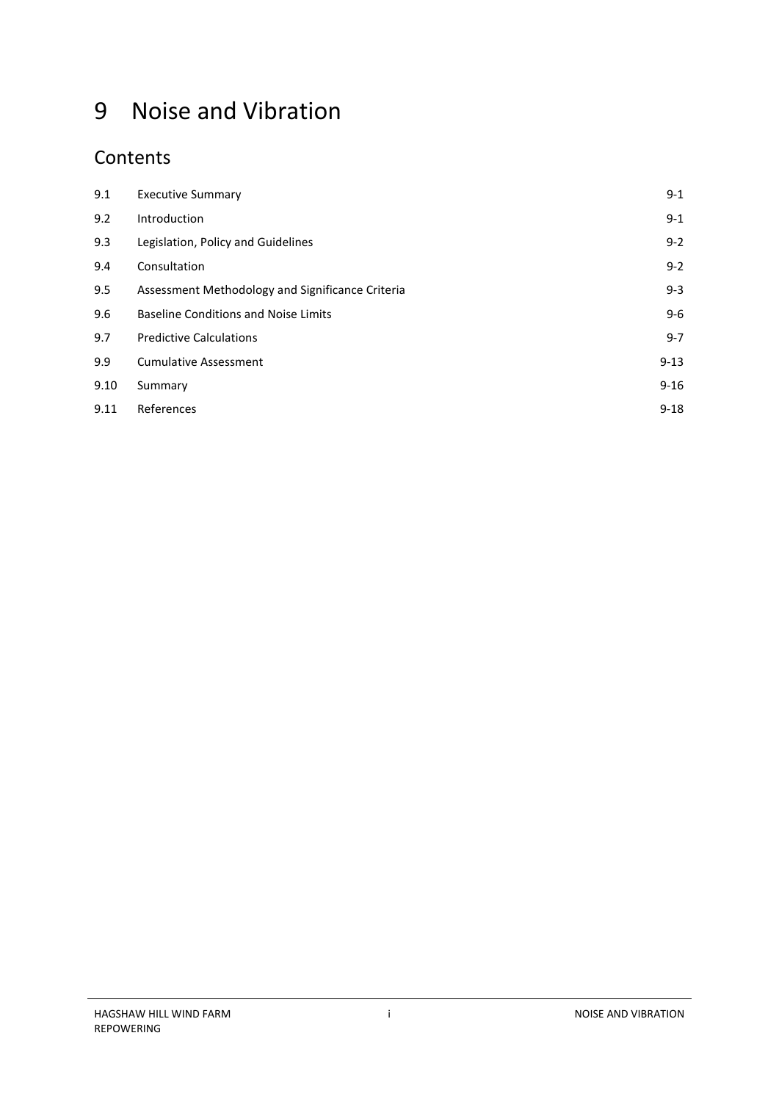# 9 Noise and Vibration

# **Contents**

| 9.1  | <b>Executive Summary</b>                         | $9 - 1$  |
|------|--------------------------------------------------|----------|
| 9.2  | Introduction                                     | $9 - 1$  |
| 9.3  | Legislation, Policy and Guidelines               | $9 - 2$  |
| 9.4  | Consultation                                     | $9 - 2$  |
| 9.5  | Assessment Methodology and Significance Criteria | $9 - 3$  |
| 9.6  | <b>Baseline Conditions and Noise Limits</b>      | $9 - 6$  |
| 9.7  | <b>Predictive Calculations</b>                   | $9 - 7$  |
| 9.9  | <b>Cumulative Assessment</b>                     | $9 - 13$ |
| 9.10 | Summary                                          | $9 - 16$ |
| 9.11 | References                                       | $9 - 18$ |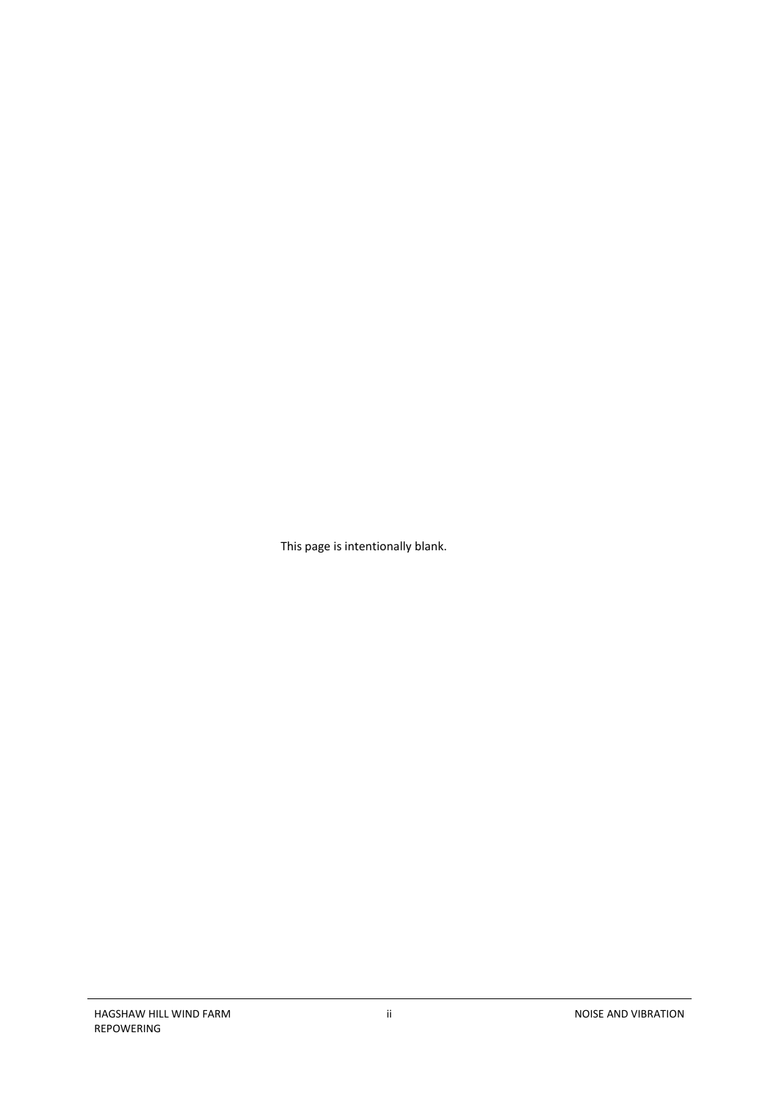This page is intentionally blank.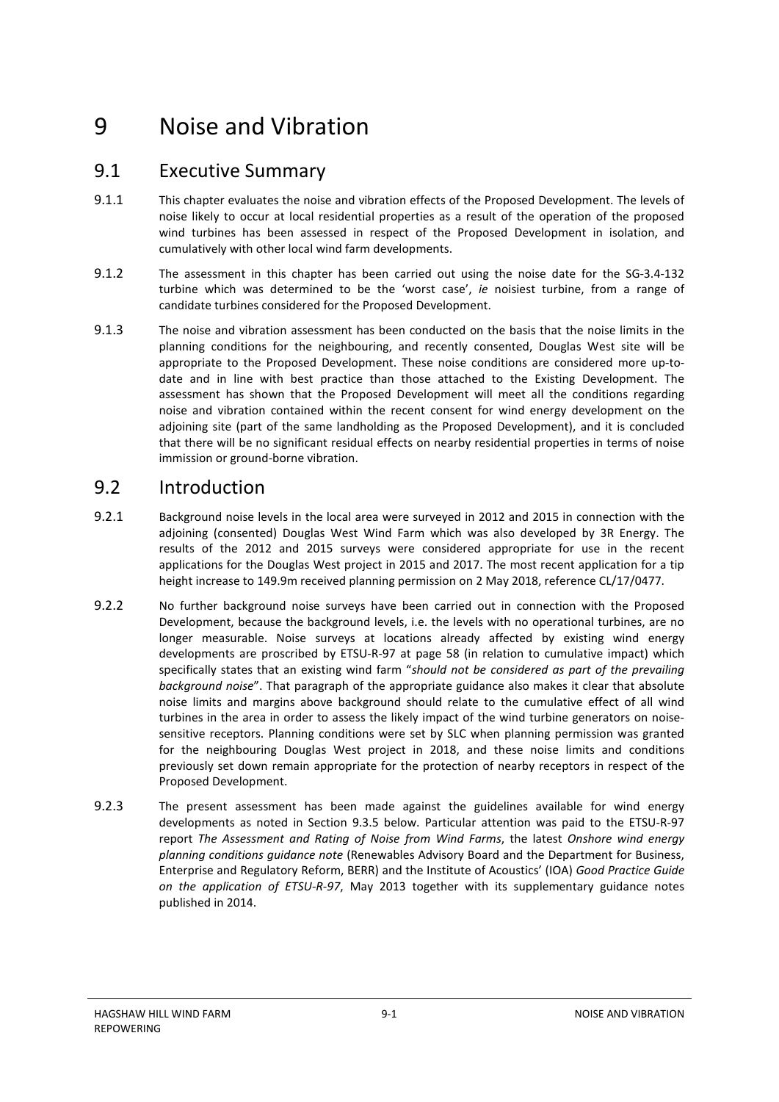# 9 Noise and Vibration

# <span id="page-2-0"></span>9.1 Executive Summary

- 9.1.1 This chapter evaluates the noise and vibration effects of the Proposed Development. The levels of noise likely to occur at local residential properties as a result of the operation of the proposed wind turbines has been assessed in respect of the Proposed Development in isolation, and cumulatively with other local wind farm developments.
- 9.1.2 The assessment in this chapter has been carried out using the noise date for the SG-3.4-132 turbine which was determined to be the 'worst case', *ie* noisiest turbine, from a range of candidate turbines considered for the Proposed Development.
- 9.1.3 The noise and vibration assessment has been conducted on the basis that the noise limits in the planning conditions for the neighbouring, and recently consented, Douglas West site will be appropriate to the Proposed Development. These noise conditions are considered more up-todate and in line with best practice than those attached to the Existing Development. The assessment has shown that the Proposed Development will meet all the conditions regarding noise and vibration contained within the recent consent for wind energy development on the adjoining site (part of the same landholding as the Proposed Development), and it is concluded that there will be no significant residual effects on nearby residential properties in terms of noise immission or ground-borne vibration.

# <span id="page-2-1"></span>9.2 Introduction

- 9.2.1 Background noise levels in the local area were surveyed in 2012 and 2015 in connection with the adjoining (consented) Douglas West Wind Farm which was also developed by 3R Energy. The results of the 2012 and 2015 surveys were considered appropriate for use in the recent applications for the Douglas West project in 2015 and 2017. The most recent application for a tip height increase to 149.9m received planning permission on 2 May 2018, reference CL/17/0477.
- 9.2.2 No further background noise surveys have been carried out in connection with the Proposed Development, because the background levels, i.e. the levels with no operational turbines, are no longer measurable. Noise surveys at locations already affected by existing wind energy developments are proscribed by ETSU-R-97 at page 58 (in relation to cumulative impact) which specifically states that an existing wind farm "*should not be considered as part of the prevailing background noise*". That paragraph of the appropriate guidance also makes it clear that absolute noise limits and margins above background should relate to the cumulative effect of all wind turbines in the area in order to assess the likely impact of the wind turbine generators on noisesensitive receptors. Planning conditions were set by SLC when planning permission was granted for the neighbouring Douglas West project in 2018, and these noise limits and conditions previously set down remain appropriate for the protection of nearby receptors in respect of the Proposed Development.
- 9.2.3 The present assessment has been made against the guidelines available for wind energy developments as noted in Section 9.3.5 below. Particular attention was paid to the ETSU-R-97 report *The Assessment and Rating of Noise from Wind Farms*, the latest *Onshore wind energy planning conditions guidance note* (Renewables Advisory Board and the Department for Business, Enterprise and Regulatory Reform, BERR) and the Institute of Acoustics' (IOA) *Good Practice Guide on the application of ETSU-R-97*, May 2013 together with its supplementary guidance notes published in 2014.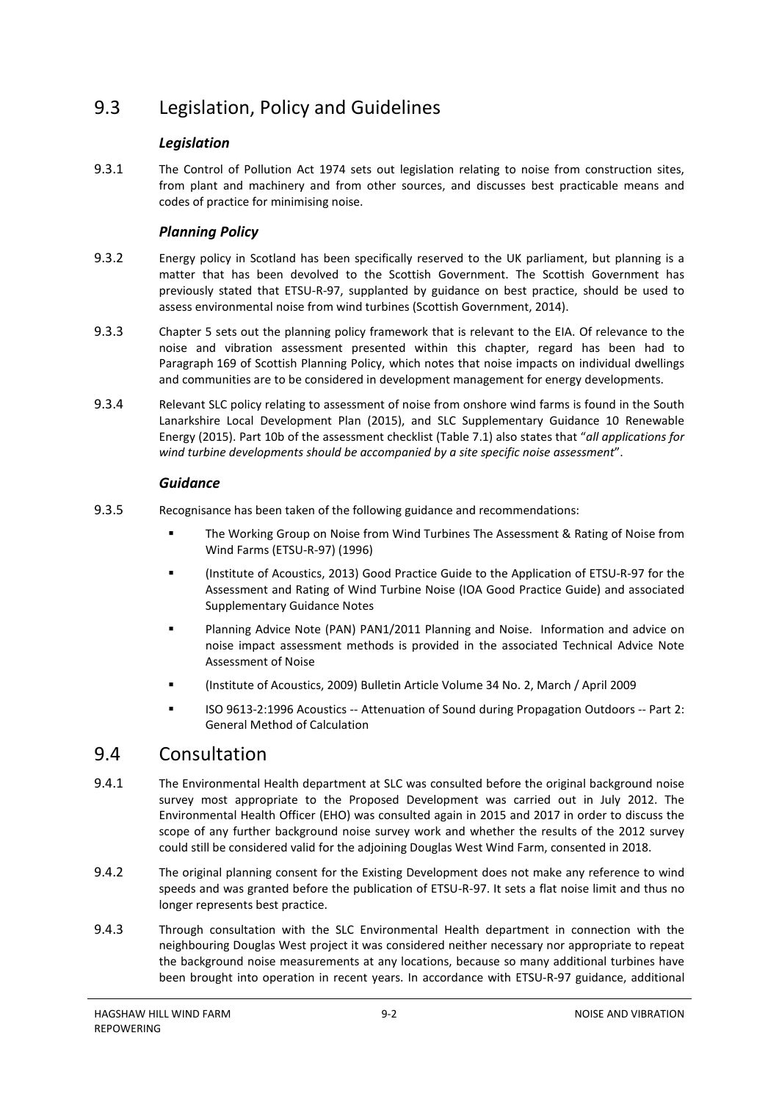# <span id="page-3-0"></span>9.3 Legislation, Policy and Guidelines

## *Legislation*

9.3.1 The Control of Pollution Act 1974 sets out legislation relating to noise from construction sites, from plant and machinery and from other sources, and discusses best practicable means and codes of practice for minimising noise.

# *Planning Policy*

- 9.3.2 Energy policy in Scotland has been specifically reserved to the UK parliament, but planning is a matter that has been devolved to the Scottish Government. The Scottish Government has previously stated that ETSU-R-97, supplanted by guidance on best practice, should be used to assess environmental noise from wind turbines (Scottish Government, 2014).
- 9.3.3 Chapter 5 sets out the planning policy framework that is relevant to the EIA. Of relevance to the noise and vibration assessment presented within this chapter, regard has been had to Paragraph 169 of Scottish Planning Policy, which notes that noise impacts on individual dwellings and communities are to be considered in development management for energy developments.
- 9.3.4 Relevant SLC policy relating to assessment of noise from onshore wind farms is found in the South Lanarkshire Local Development Plan (2015), and SLC Supplementary Guidance 10 Renewable Energy (2015). Part 10b of the assessment checklist (Table 7.1) also states that "*all applications for wind turbine developments should be accompanied by a site specific noise assessment*".

### *Guidance*

- 9.3.5 Recognisance has been taken of the following guidance and recommendations:
	- The Working Group on Noise from Wind Turbines The Assessment & Rating of Noise from Wind Farms (ETSU-R-97) (1996)
	- (Institute of Acoustics, 2013) Good Practice Guide to the Application of ETSU-R-97 for the Assessment and Rating of Wind Turbine Noise (IOA Good Practice Guide) and associated Supplementary Guidance Notes
	- Planning Advice Note (PAN) PAN1/2011 Planning and Noise. Information and advice on noise impact assessment methods is provided in the associated Technical Advice Note Assessment of Noise
	- (Institute of Acoustics, 2009) Bulletin Article Volume 34 No. 2, March / April 2009
	- **ISO 9613-2:1996 Acoustics -- Attenuation of Sound during Propagation Outdoors -- Part 2:** General Method of Calculation

# <span id="page-3-1"></span>9.4 Consultation

- 9.4.1 The Environmental Health department at SLC was consulted before the original background noise survey most appropriate to the Proposed Development was carried out in July 2012. The Environmental Health Officer (EHO) was consulted again in 2015 and 2017 in order to discuss the scope of any further background noise survey work and whether the results of the 2012 survey could still be considered valid for the adjoining Douglas West Wind Farm, consented in 2018.
- 9.4.2 The original planning consent for the Existing Development does not make any reference to wind speeds and was granted before the publication of ETSU-R-97. It sets a flat noise limit and thus no longer represents best practice.
- 9.4.3 Through consultation with the SLC Environmental Health department in connection with the neighbouring Douglas West project it was considered neither necessary nor appropriate to repeat the background noise measurements at any locations, because so many additional turbines have been brought into operation in recent years. In accordance with ETSU-R-97 guidance, additional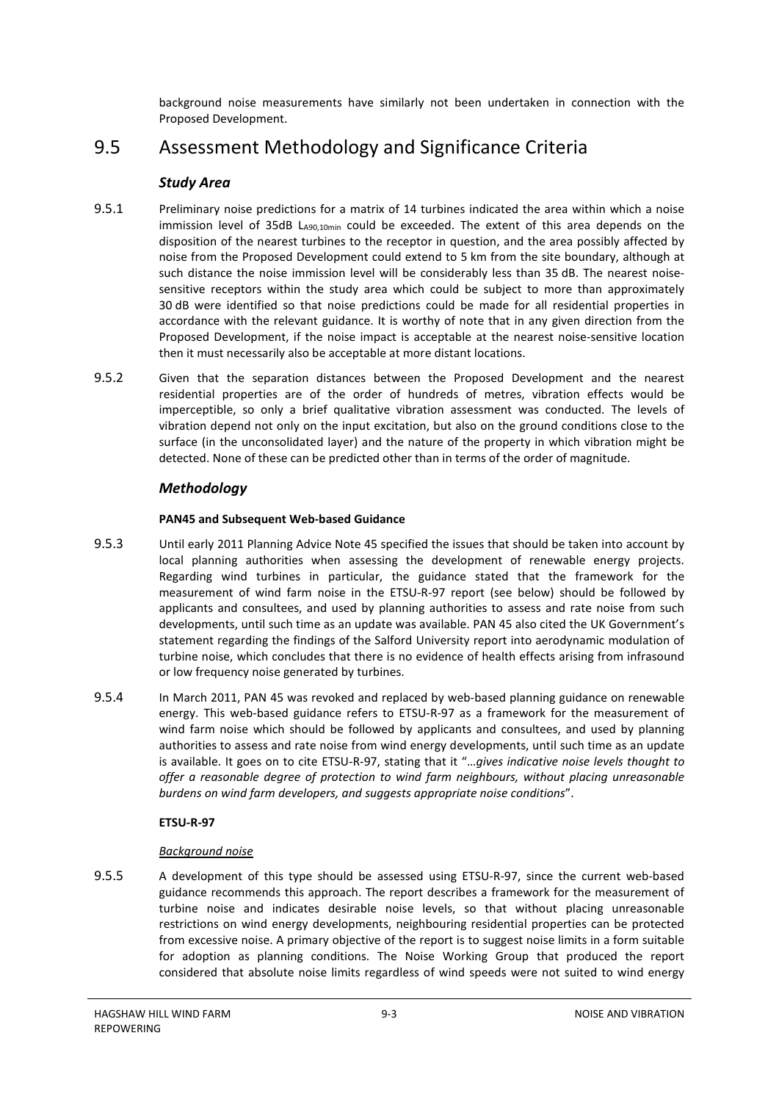background noise measurements have similarly not been undertaken in connection with the Proposed Development.

# <span id="page-4-0"></span>9.5 Assessment Methodology and Significance Criteria

### *Study Area*

- 9.5.1 Preliminary noise predictions for a matrix of 14 turbines indicated the area within which a noise immission level of 35dB LA90,10min could be exceeded. The extent of this area depends on the disposition of the nearest turbines to the receptor in question, and the area possibly affected by noise from the Proposed Development could extend to 5 km from the site boundary, although at such distance the noise immission level will be considerably less than 35 dB. The nearest noisesensitive receptors within the study area which could be subject to more than approximately 30 dB were identified so that noise predictions could be made for all residential properties in accordance with the relevant guidance. It is worthy of note that in any given direction from the Proposed Development, if the noise impact is acceptable at the nearest noise-sensitive location then it must necessarily also be acceptable at more distant locations.
- 9.5.2 Given that the separation distances between the Proposed Development and the nearest residential properties are of the order of hundreds of metres, vibration effects would be imperceptible, so only a brief qualitative vibration assessment was conducted. The levels of vibration depend not only on the input excitation, but also on the ground conditions close to the surface (in the unconsolidated layer) and the nature of the property in which vibration might be detected. None of these can be predicted other than in terms of the order of magnitude.

### *Methodology*

#### **PAN45 and Subsequent Web-based Guidance**

- 9.5.3 Until early 2011 Planning Advice Note 45 specified the issues that should be taken into account by local planning authorities when assessing the development of renewable energy projects. Regarding wind turbines in particular, the guidance stated that the framework for the measurement of wind farm noise in the ETSU-R-97 report (see below) should be followed by applicants and consultees, and used by planning authorities to assess and rate noise from such developments, until such time as an update was available. PAN 45 also cited the UK Government's statement regarding the findings of the Salford University report into aerodynamic modulation of turbine noise, which concludes that there is no evidence of health effects arising from infrasound or low frequency noise generated by turbines.
- 9.5.4 In March 2011, PAN 45 was revoked and replaced by web-based planning guidance on renewable energy. This web-based guidance refers to ETSU-R-97 as a framework for the measurement of wind farm noise which should be followed by applicants and consultees, and used by planning authorities to assess and rate noise from wind energy developments, until such time as an update is available. It goes on to cite ETSU-R-97, stating that it "…*gives indicative noise levels thought to offer a reasonable degree of protection to wind farm neighbours, without placing unreasonable burdens on wind farm developers, and suggests appropriate noise conditions*".

### **ETSU-R-97**

#### *Background noise*

9.5.5 A development of this type should be assessed using ETSU-R-97, since the current web-based guidance recommends this approach. The report describes a framework for the measurement of turbine noise and indicates desirable noise levels, so that without placing unreasonable restrictions on wind energy developments, neighbouring residential properties can be protected from excessive noise. A primary objective of the report is to suggest noise limits in a form suitable for adoption as planning conditions. The Noise Working Group that produced the report considered that absolute noise limits regardless of wind speeds were not suited to wind energy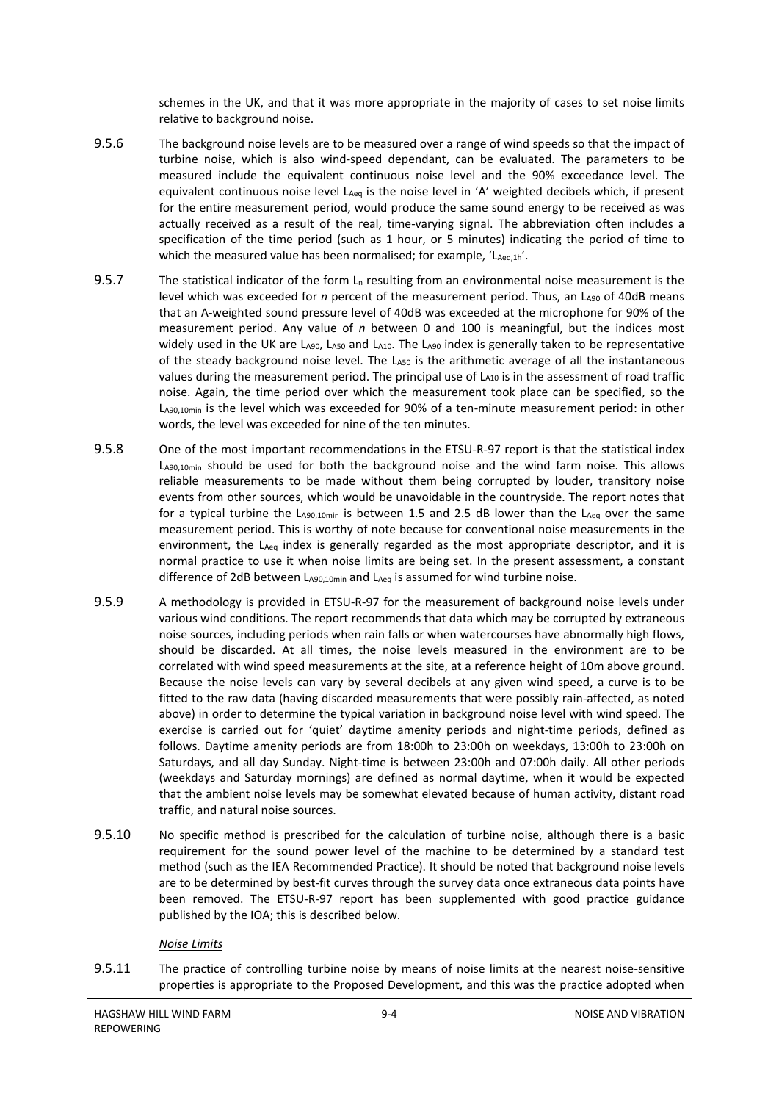schemes in the UK, and that it was more appropriate in the majority of cases to set noise limits relative to background noise.

- 9.5.6 The background noise levels are to be measured over a range of wind speeds so that the impact of turbine noise, which is also wind-speed dependant, can be evaluated. The parameters to be measured include the equivalent continuous noise level and the 90% exceedance level. The equivalent continuous noise level LAeq is the noise level in 'A' weighted decibels which, if present for the entire measurement period, would produce the same sound energy to be received as was actually received as a result of the real, time-varying signal. The abbreviation often includes a specification of the time period (such as 1 hour, or 5 minutes) indicating the period of time to which the measured value has been normalised; for example, 'LAeq,1h'.
- 9.5.7 The statistical indicator of the form  $L_n$  resulting from an environmental noise measurement is the level which was exceeded for *n* percent of the measurement period. Thus, an LA90 of 40dB means that an A-weighted sound pressure level of 40dB was exceeded at the microphone for 90% of the measurement period. Any value of *n* between 0 and 100 is meaningful, but the indices most widely used in the UK are LA90, LA50 and LA10. The LA90 index is generally taken to be representative of the steady background noise level. The LA50 is the arithmetic average of all the instantaneous values during the measurement period. The principal use of LA10 is in the assessment of road traffic noise. Again, the time period over which the measurement took place can be specified, so the LA90,10min is the level which was exceeded for 90% of a ten-minute measurement period: in other words, the level was exceeded for nine of the ten minutes.
- 9.5.8 One of the most important recommendations in the ETSU-R-97 report is that the statistical index LA90,10min should be used for both the background noise and the wind farm noise. This allows reliable measurements to be made without them being corrupted by louder, transitory noise events from other sources, which would be unavoidable in the countryside. The report notes that for a typical turbine the  $L_{A90,10\text{min}}$  is between 1.5 and 2.5 dB lower than the  $L_{Aeq}$  over the same measurement period. This is worthy of note because for conventional noise measurements in the environment, the L<sub>Aeq</sub> index is generally regarded as the most appropriate descriptor, and it is normal practice to use it when noise limits are being set. In the present assessment, a constant difference of 2dB between LA90,10min and LAeq is assumed for wind turbine noise.
- 9.5.9 A methodology is provided in ETSU-R-97 for the measurement of background noise levels under various wind conditions. The report recommends that data which may be corrupted by extraneous noise sources, including periods when rain falls or when watercourses have abnormally high flows, should be discarded. At all times, the noise levels measured in the environment are to be correlated with wind speed measurements at the site, at a reference height of 10m above ground. Because the noise levels can vary by several decibels at any given wind speed, a curve is to be fitted to the raw data (having discarded measurements that were possibly rain-affected, as noted above) in order to determine the typical variation in background noise level with wind speed. The exercise is carried out for 'quiet' daytime amenity periods and night-time periods, defined as follows. Daytime amenity periods are from 18:00h to 23:00h on weekdays, 13:00h to 23:00h on Saturdays, and all day Sunday. Night-time is between 23:00h and 07:00h daily. All other periods (weekdays and Saturday mornings) are defined as normal daytime, when it would be expected that the ambient noise levels may be somewhat elevated because of human activity, distant road traffic, and natural noise sources.
- 9.5.10 No specific method is prescribed for the calculation of turbine noise, although there is a basic requirement for the sound power level of the machine to be determined by a standard test method (such as the IEA Recommended Practice). It should be noted that background noise levels are to be determined by best-fit curves through the survey data once extraneous data points have been removed. The ETSU-R-97 report has been supplemented with good practice guidance published by the IOA; this is described below.

#### *Noise Limits*

9.5.11 The practice of controlling turbine noise by means of noise limits at the nearest noise-sensitive properties is appropriate to the Proposed Development, and this was the practice adopted when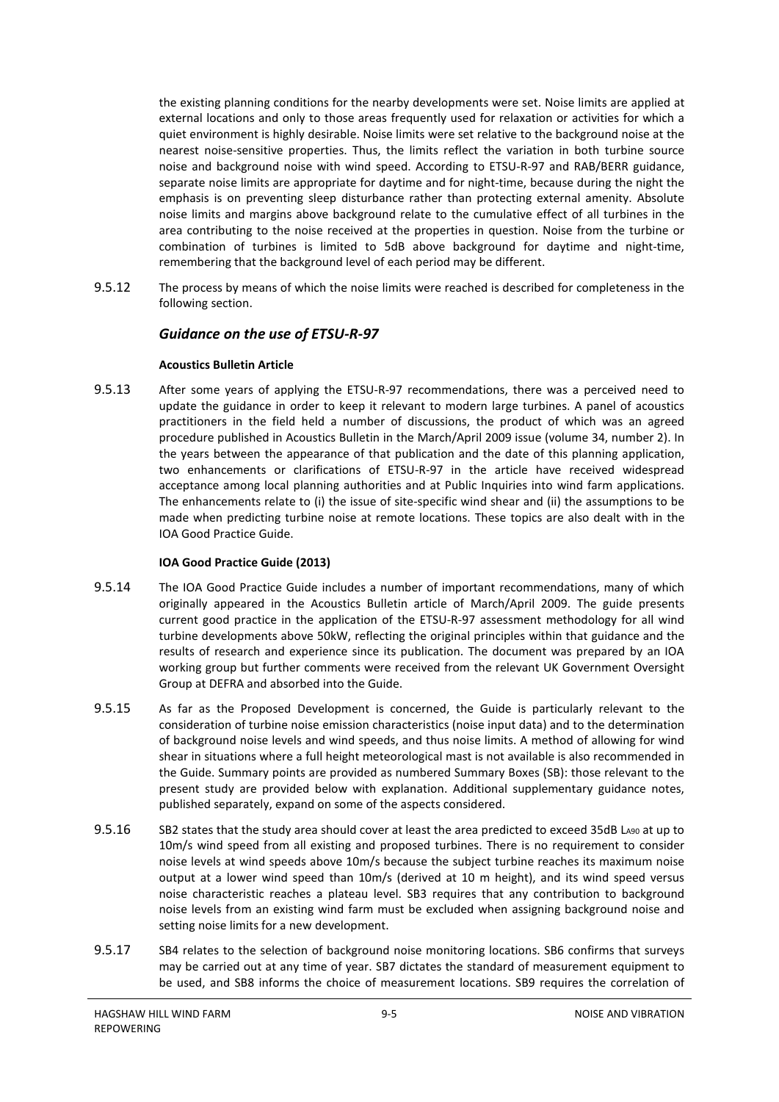the existing planning conditions for the nearby developments were set. Noise limits are applied at external locations and only to those areas frequently used for relaxation or activities for which a quiet environment is highly desirable. Noise limits were set relative to the background noise at the nearest noise-sensitive properties. Thus, the limits reflect the variation in both turbine source noise and background noise with wind speed. According to ETSU-R-97 and RAB/BERR guidance, separate noise limits are appropriate for daytime and for night-time, because during the night the emphasis is on preventing sleep disturbance rather than protecting external amenity. Absolute noise limits and margins above background relate to the cumulative effect of all turbines in the area contributing to the noise received at the properties in question. Noise from the turbine or combination of turbines is limited to 5dB above background for daytime and night-time, remembering that the background level of each period may be different.

9.5.12 The process by means of which the noise limits were reached is described for completeness in the following section.

#### *Guidance on the use of ETSU-R-97*

#### **Acoustics Bulletin Article**

9.5.13 After some years of applying the ETSU-R-97 recommendations, there was a perceived need to update the guidance in order to keep it relevant to modern large turbines. A panel of acoustics practitioners in the field held a number of discussions, the product of which was an agreed procedure published in Acoustics Bulletin in the March/April 2009 issue (volume 34, number 2). In the years between the appearance of that publication and the date of this planning application, two enhancements or clarifications of ETSU-R-97 in the article have received widespread acceptance among local planning authorities and at Public Inquiries into wind farm applications. The enhancements relate to (i) the issue of site-specific wind shear and (ii) the assumptions to be made when predicting turbine noise at remote locations. These topics are also dealt with in the IOA Good Practice Guide.

#### **IOA Good Practice Guide (2013)**

- 9.5.14 The IOA Good Practice Guide includes a number of important recommendations, many of which originally appeared in the Acoustics Bulletin article of March/April 2009. The guide presents current good practice in the application of the ETSU-R-97 assessment methodology for all wind turbine developments above 50kW, reflecting the original principles within that guidance and the results of research and experience since its publication. The document was prepared by an IOA working group but further comments were received from the relevant UK Government Oversight Group at DEFRA and absorbed into the Guide.
- 9.5.15 As far as the Proposed Development is concerned, the Guide is particularly relevant to the consideration of turbine noise emission characteristics (noise input data) and to the determination of background noise levels and wind speeds, and thus noise limits. A method of allowing for wind shear in situations where a full height meteorological mast is not available is also recommended in the Guide. Summary points are provided as numbered Summary Boxes (SB): those relevant to the present study are provided below with explanation. Additional supplementary guidance notes, published separately, expand on some of the aspects considered.
- 9.5.16 SB2 states that the study area should cover at least the area predicted to exceed 35dB LA90 at up to 10m/s wind speed from all existing and proposed turbines. There is no requirement to consider noise levels at wind speeds above 10m/s because the subject turbine reaches its maximum noise output at a lower wind speed than 10m/s (derived at 10 m height), and its wind speed versus noise characteristic reaches a plateau level. SB3 requires that any contribution to background noise levels from an existing wind farm must be excluded when assigning background noise and setting noise limits for a new development.
- 9.5.17 SB4 relates to the selection of background noise monitoring locations. SB6 confirms that surveys may be carried out at any time of year. SB7 dictates the standard of measurement equipment to be used, and SB8 informs the choice of measurement locations. SB9 requires the correlation of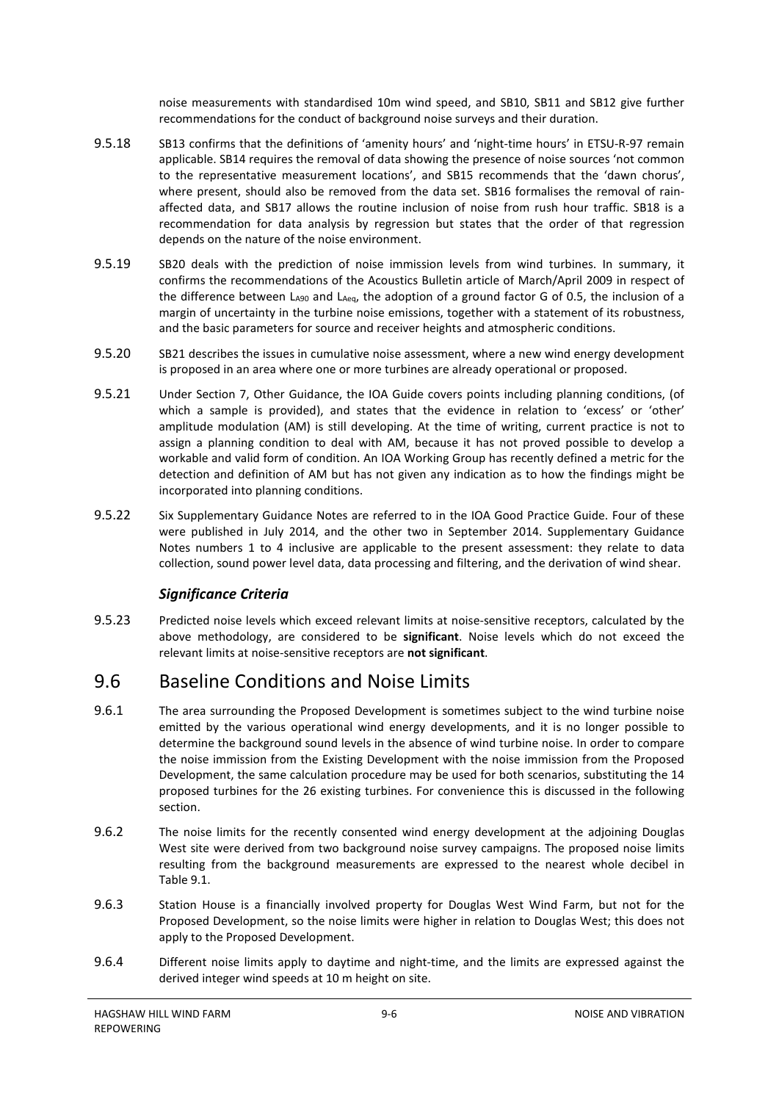noise measurements with standardised 10m wind speed, and SB10, SB11 and SB12 give further recommendations for the conduct of background noise surveys and their duration.

- 9.5.18 SB13 confirms that the definitions of 'amenity hours' and 'night-time hours' in ETSU-R-97 remain applicable. SB14 requires the removal of data showing the presence of noise sources 'not common to the representative measurement locations', and SB15 recommends that the 'dawn chorus', where present, should also be removed from the data set. SB16 formalises the removal of rainaffected data, and SB17 allows the routine inclusion of noise from rush hour traffic. SB18 is a recommendation for data analysis by regression but states that the order of that regression depends on the nature of the noise environment.
- 9.5.19 SB20 deals with the prediction of noise immission levels from wind turbines. In summary, it confirms the recommendations of the Acoustics Bulletin article of March/April 2009 in respect of the difference between LA90 and LAeq, the adoption of a ground factor G of 0.5, the inclusion of a margin of uncertainty in the turbine noise emissions, together with a statement of its robustness, and the basic parameters for source and receiver heights and atmospheric conditions.
- 9.5.20 SB21 describes the issues in cumulative noise assessment, where a new wind energy development is proposed in an area where one or more turbines are already operational or proposed.
- 9.5.21 Under Section 7, Other Guidance, the IOA Guide covers points including planning conditions, (of which a sample is provided), and states that the evidence in relation to 'excess' or 'other' amplitude modulation (AM) is still developing. At the time of writing, current practice is not to assign a planning condition to deal with AM, because it has not proved possible to develop a workable and valid form of condition. An IOA Working Group has recently defined a metric for the detection and definition of AM but has not given any indication as to how the findings might be incorporated into planning conditions.
- 9.5.22 Six Supplementary Guidance Notes are referred to in the IOA Good Practice Guide. Four of these were published in July 2014, and the other two in September 2014. Supplementary Guidance Notes numbers 1 to 4 inclusive are applicable to the present assessment: they relate to data collection, sound power level data, data processing and filtering, and the derivation of wind shear.

# *Significance Criteria*

9.5.23 Predicted noise levels which exceed relevant limits at noise-sensitive receptors, calculated by the above methodology, are considered to be **significant**. Noise levels which do not exceed the relevant limits at noise-sensitive receptors are **not significant**.

# <span id="page-7-0"></span>9.6 Baseline Conditions and Noise Limits

- 9.6.1 The area surrounding the Proposed Development is sometimes subject to the wind turbine noise emitted by the various operational wind energy developments, and it is no longer possible to determine the background sound levels in the absence of wind turbine noise. In order to compare the noise immission from the Existing Development with the noise immission from the Proposed Development, the same calculation procedure may be used for both scenarios, substituting the 14 proposed turbines for the 26 existing turbines. For convenience this is discussed in the following section.
- 9.6.2 The noise limits for the recently consented wind energy development at the adjoining Douglas West site were derived from two background noise survey campaigns. The proposed noise limits resulting from the background measurements are expressed to the nearest whole decibel in Table 9.1.
- 9.6.3 Station House is a financially involved property for Douglas West Wind Farm, but not for the Proposed Development, so the noise limits were higher in relation to Douglas West; this does not apply to the Proposed Development.
- 9.6.4 Different noise limits apply to daytime and night-time, and the limits are expressed against the derived integer wind speeds at 10 m height on site.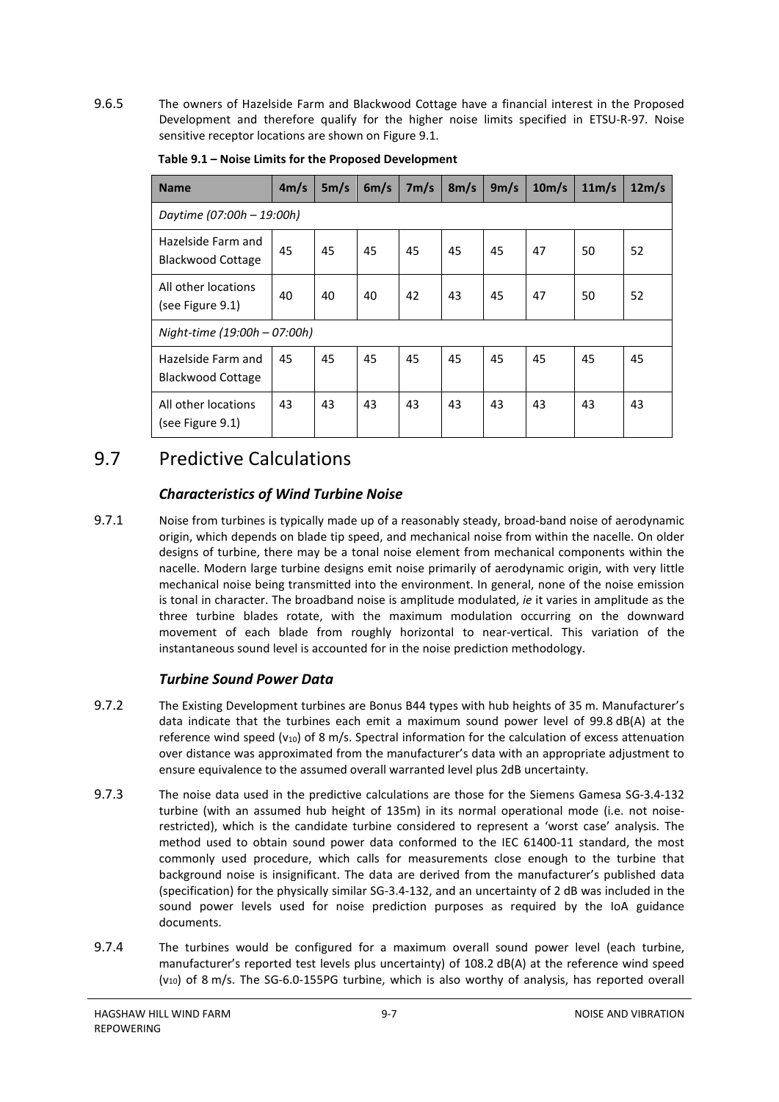9.6.5 The owners of Hazelside Farm and Blackwood Cottage have a financial interest in the Proposed Development and therefore qualify for the higher noise limits specified in ETSU-R-97. Noise sensitive receptor locations are shown on Figure 9.1.

| <b>Name</b>                                    | 4m/s | 5m/s | 6m/s | 7m/s | 8m/s | 9m/s | 10 <sub>m</sub> /s | 11m/s | 12m/s |  |  |
|------------------------------------------------|------|------|------|------|------|------|--------------------|-------|-------|--|--|
| Daytime (07:00h - 19:00h)                      |      |      |      |      |      |      |                    |       |       |  |  |
| Hazelside Farm and<br><b>Blackwood Cottage</b> | 45   | 45   | 45   | 45   | 45   | 45   | 47                 | 50    | 52    |  |  |
| All other locations<br>(see Figure 9.1)        | 40   | 40   | 40   | 42   | 43   | 45   | 47                 | 50    | 52    |  |  |
| Night-time (19:00h - 07:00h)                   |      |      |      |      |      |      |                    |       |       |  |  |
| Hazelside Farm and<br><b>Blackwood Cottage</b> | 45   | 45   | 45   | 45   | 45   | 45   | 45                 | 45    | 45    |  |  |
| All other locations<br>(see Figure 9.1)        | 43   | 43   | 43   | 43   | 43   | 43   | 43                 | 43    | 43    |  |  |

**Table 9.1 – Noise Limits for the Proposed Development**

# <span id="page-8-0"></span>9.7 Predictive Calculations

# *Characteristics of Wind Turbine Noise*

9.7.1 Noise from turbines is typically made up of a reasonably steady, broad-band noise of aerodynamic origin, which depends on blade tip speed, and mechanical noise from within the nacelle. On older designs of turbine, there may be a tonal noise element from mechanical components within the nacelle. Modern large turbine designs emit noise primarily of aerodynamic origin, with very little mechanical noise being transmitted into the environment. In general, none of the noise emission is tonal in character. The broadband noise is amplitude modulated, *ie* it varies in amplitude as the three turbine blades rotate, with the maximum modulation occurring on the downward movement of each blade from roughly horizontal to near-vertical. This variation of the instantaneous sound level is accounted for in the noise prediction methodology.

# *Turbine Sound Power Data*

- 9.7.2 The Existing Development turbines are Bonus B44 types with hub heights of 35 m. Manufacturer's data indicate that the turbines each emit a maximum sound power level of 99.8 dB(A) at the reference wind speed ( $v_{10}$ ) of 8 m/s. Spectral information for the calculation of excess attenuation over distance was approximated from the manufacturer's data with an appropriate adjustment to ensure equivalence to the assumed overall warranted level plus 2dB uncertainty.
- 9.7.3 The noise data used in the predictive calculations are those for the Siemens Gamesa SG-3.4-132 turbine (with an assumed hub height of 135m) in its normal operational mode (i.e. not noiserestricted), which is the candidate turbine considered to represent a 'worst case' analysis. The method used to obtain sound power data conformed to the IEC 61400-11 standard, the most commonly used procedure, which calls for measurements close enough to the turbine that background noise is insignificant. The data are derived from the manufacturer's published data (specification) for the physically similar SG-3.4-132, and an uncertainty of 2 dB was included in the sound power levels used for noise prediction purposes as required by the IoA guidance documents.
- 9.7.4 The turbines would be configured for a maximum overall sound power level (each turbine, manufacturer's reported test levels plus uncertainty) of 108.2 dB(A) at the reference wind speed (v<sub>10</sub>) of 8 m/s. The SG-6.0-155PG turbine, which is also worthy of analysis, has reported overall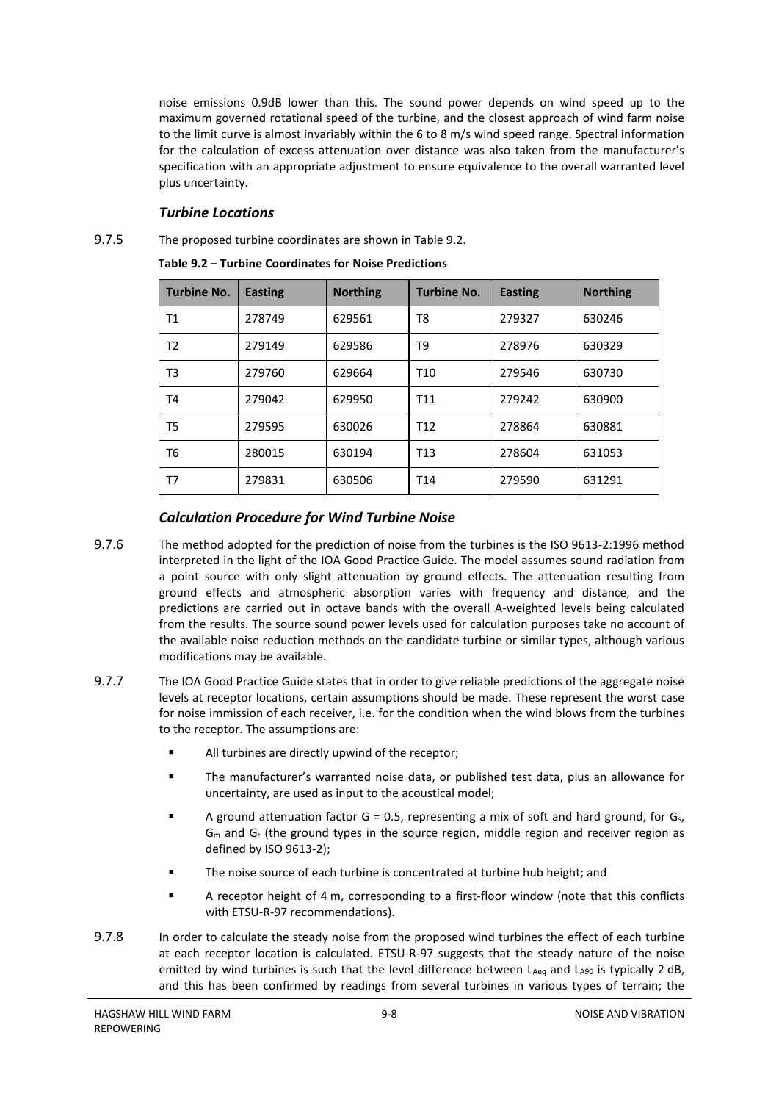noise emissions 0.9dB lower than this. The sound power depends on wind speed up to the maximum governed rotational speed of the turbine, and the closest approach of wind farm noise to the limit curve is almost invariably within the 6 to 8 m/s wind speed range. Spectral information for the calculation of excess attenuation over distance was also taken from the manufacturer's specification with an appropriate adjustment to ensure equivalence to the overall warranted level plus uncertainty.

### *Turbine Locations*

9.7.5 The proposed turbine coordinates are shown in Table 9.2.

| <b>Turbine No.</b> | <b>Easting</b> | <b>Northing</b> | <b>Turbine No.</b> | <b>Easting</b> | <b>Northing</b> |
|--------------------|----------------|-----------------|--------------------|----------------|-----------------|
| T1                 | 278749         | 629561          | T8                 | 279327         | 630246          |
| T2                 | 279149         | 629586          | T9                 | 278976         | 630329          |
| T3                 | 279760         | 629664          | T <sub>10</sub>    | 279546         | 630730          |
| T4                 | 279042         | 629950          | T <sub>11</sub>    | 279242         | 630900          |
| T5                 | 279595         | 630026          | T <sub>12</sub>    | 278864         | 630881          |
| Т6                 | 280015         | 630194          | T <sub>13</sub>    | 278604         | 631053          |
| T7                 | 279831         | 630506          | T <sub>14</sub>    | 279590         | 631291          |

**Table 9.2 – Turbine Coordinates for Noise Predictions**

# *Calculation Procedure for Wind Turbine Noise*

- 9.7.6 The method adopted for the prediction of noise from the turbines is the ISO 9613-2:1996 method interpreted in the light of the IOA Good Practice Guide. The model assumes sound radiation from a point source with only slight attenuation by ground effects. The attenuation resulting from ground effects and atmospheric absorption varies with frequency and distance, and the predictions are carried out in octave bands with the overall A-weighted levels being calculated from the results. The source sound power levels used for calculation purposes take no account of the available noise reduction methods on the candidate turbine or similar types, although various modifications may be available.
- 9.7.7 The IOA Good Practice Guide states that in order to give reliable predictions of the aggregate noise levels at receptor locations, certain assumptions should be made. These represent the worst case for noise immission of each receiver, i.e. for the condition when the wind blows from the turbines to the receptor. The assumptions are:
	- All turbines are directly upwind of the receptor;
	- The manufacturer's warranted noise data, or published test data, plus an allowance for uncertainty, are used as input to the acoustical model;
	- A ground attenuation factor G = 0.5, representing a mix of soft and hard ground, for  $G<sub>s</sub>$ , Gm and Gr (the ground types in the source region, middle region and receiver region as defined by ISO 9613-2);
	- The noise source of each turbine is concentrated at turbine hub height; and
	- A receptor height of 4 m, corresponding to a first-floor window (note that this conflicts with ETSU-R-97 recommendations).
- 9.7.8 In order to calculate the steady noise from the proposed wind turbines the effect of each turbine at each receptor location is calculated. ETSU-R-97 suggests that the steady nature of the noise emitted by wind turbines is such that the level difference between  $L_{Aeq}$  and  $L_{A90}$  is typically 2 dB, and this has been confirmed by readings from several turbines in various types of terrain; the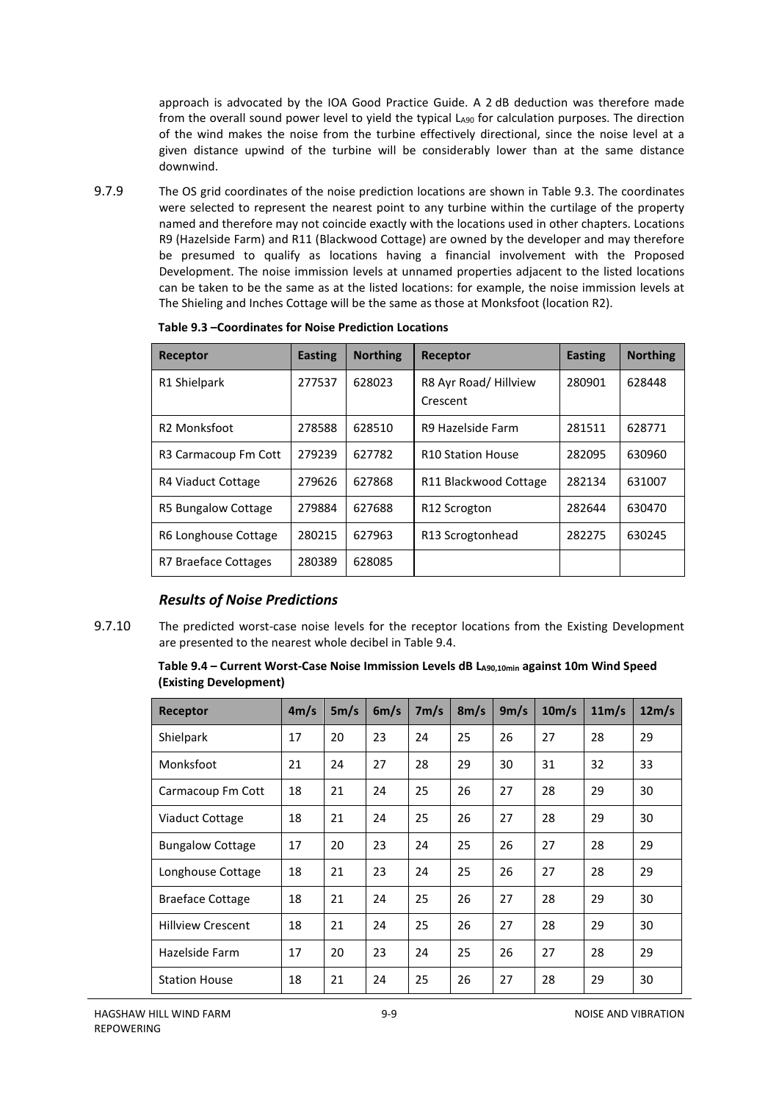approach is advocated by the IOA Good Practice Guide. A 2 dB deduction was therefore made from the overall sound power level to yield the typical LA90 for calculation purposes. The direction of the wind makes the noise from the turbine effectively directional, since the noise level at a given distance upwind of the turbine will be considerably lower than at the same distance downwind.

9.7.9 The OS grid coordinates of the noise prediction locations are shown in Table 9.3. The coordinates were selected to represent the nearest point to any turbine within the curtilage of the property named and therefore may not coincide exactly with the locations used in other chapters. Locations R9 (Hazelside Farm) and R11 (Blackwood Cottage) are owned by the developer and may therefore be presumed to qualify as locations having a financial involvement with the Proposed Development. The noise immission levels at unnamed properties adjacent to the listed locations can be taken to be the same as at the listed locations: for example, the noise immission levels at The Shieling and Inches Cottage will be the same as those at Monksfoot (location R2).

| Receptor                         | <b>Easting</b> | <b>Northing</b> | Receptor                         | <b>Easting</b> | <b>Northing</b> |
|----------------------------------|----------------|-----------------|----------------------------------|----------------|-----------------|
| R1 Shielpark                     | 277537         | 628023          | R8 Ayr Road/Hillview<br>Crescent | 280901         | 628448          |
| R <sub>2</sub> Monksfoot         | 278588         | 628510          | R9 Hazelside Farm                | 281511         | 628771          |
| R <sub>3</sub> Carmacoup Fm Cott | 279239         | 627782          | R <sub>10</sub> Station House    | 282095         | 630960          |
| R4 Viaduct Cottage               | 279626         | 627868          | R11 Blackwood Cottage            | 282134         | 631007          |
| R5 Bungalow Cottage              | 279884         | 627688          | R <sub>12</sub> Scrogton         | 282644         | 630470          |
| R6 Longhouse Cottage             | 280215         | 627963          | R13 Scrogtonhead                 | 282275         | 630245          |
| R7 Braeface Cottages             | 280389         | 628085          |                                  |                |                 |

**Table 9.3 –Coordinates for Noise Prediction Locations**

### *Results of Noise Predictions*

9.7.10 The predicted worst-case noise levels for the receptor locations from the Existing Development are presented to the nearest whole decibel in Table 9.4.

> **Table 9.4 – Current Worst-Case Noise Immission Levels dB LA90,10min against 10m Wind Speed (Existing Development)**

| <b>Receptor</b>          | 4m/s | 5m/s | 6m/s | 7m/s | 8m/s | 9m/s | 10 <sub>m</sub> /s | 11m/s | 12m/s |
|--------------------------|------|------|------|------|------|------|--------------------|-------|-------|
| Shielpark                | 17   | 20   | 23   | 24   | 25   | 26   | 27                 | 28    | 29    |
| Monksfoot                | 21   | 24   | 27   | 28   | 29   | 30   | 31                 | 32    | 33    |
| Carmacoup Fm Cott        | 18   | 21   | 24   | 25   | 26   | 27   | 28                 | 29    | 30    |
| Viaduct Cottage          | 18   | 21   | 24   | 25   | 26   | 27   | 28                 | 29    | 30    |
| <b>Bungalow Cottage</b>  | 17   | 20   | 23   | 24   | 25   | 26   | 27                 | 28    | 29    |
| Longhouse Cottage        | 18   | 21   | 23   | 24   | 25   | 26   | 27                 | 28    | 29    |
| <b>Braeface Cottage</b>  | 18   | 21   | 24   | 25   | 26   | 27   | 28                 | 29    | 30    |
| <b>Hillview Crescent</b> | 18   | 21   | 24   | 25   | 26   | 27   | 28                 | 29    | 30    |
| Hazelside Farm           | 17   | 20   | 23   | 24   | 25   | 26   | 27                 | 28    | 29    |
| <b>Station House</b>     | 18   | 21   | 24   | 25   | 26   | 27   | 28                 | 29    | 30    |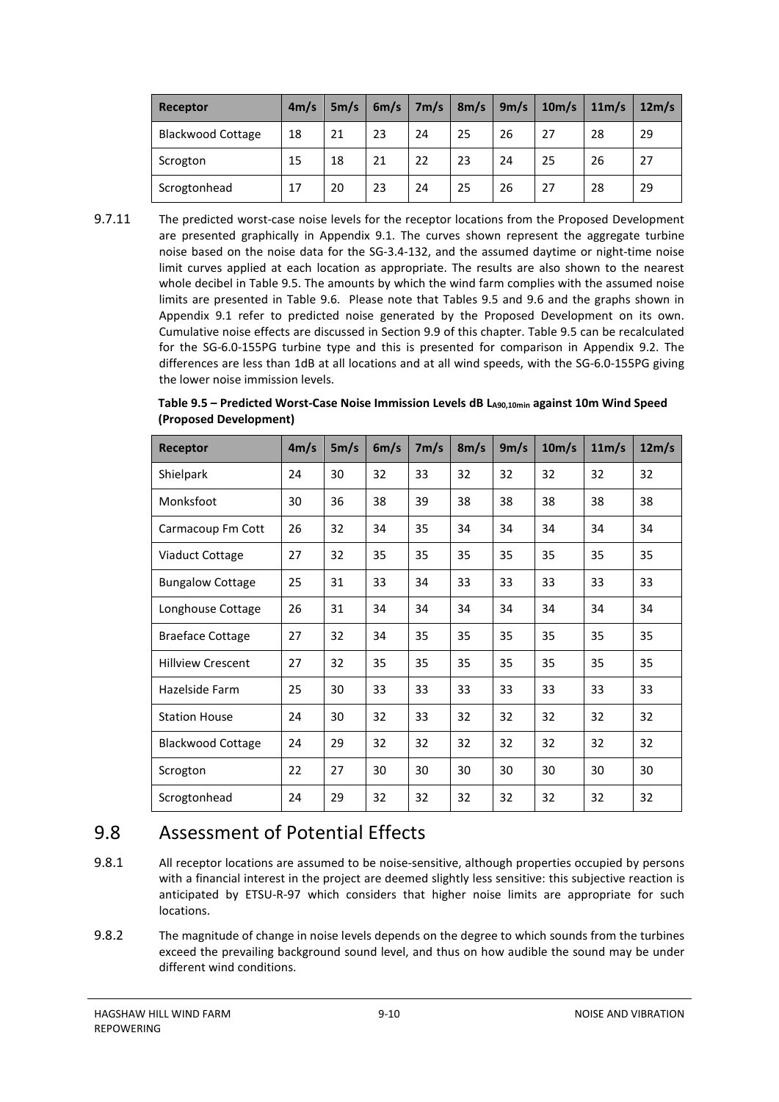| Receptor                 | 4m/s | 5m/s | 6m/s | 7m/s | $\frac{1}{2}$ 8m/s | 9m/s | 10 <sub>m</sub> /s | 11m/s | 12m/s |
|--------------------------|------|------|------|------|--------------------|------|--------------------|-------|-------|
| <b>Blackwood Cottage</b> | 18   | 21   | 23   | 24   | 25                 | 26   | 27                 | 28    | 29    |
| Scrogton                 | 15   | 18   | 21   | 22   | 23                 | 24   | 25                 | 26    | 27    |
| Scrogtonhead             | 17   | 20   | 23   | 24   | 25                 | 26   | 27                 | 28    | 29    |

9.7.11 The predicted worst-case noise levels for the receptor locations from the Proposed Development are presented graphically in Appendix 9.1. The curves shown represent the aggregate turbine noise based on the noise data for the SG-3.4-132, and the assumed daytime or night-time noise limit curves applied at each location as appropriate. The results are also shown to the nearest whole decibel in Table 9.5. The amounts by which the wind farm complies with the assumed noise limits are presented in Table 9.6. Please note that Tables 9.5 and 9.6 and the graphs shown in Appendix 9.1 refer to predicted noise generated by the Proposed Development on its own. Cumulative noise effects are discussed in Section 9.9 of this chapter. Table 9.5 can be recalculated for the SG-6.0-155PG turbine type and this is presented for comparison in Appendix 9.2. The differences are less than 1dB at all locations and at all wind speeds, with the SG-6.0-155PG giving the lower noise immission levels.

| Receptor                 | 4m/s | 5m/s | 6m/s | 7m/s | 8m/s | 9m/s | 10 <sub>m</sub> /s | 11m/s | 12m/s |
|--------------------------|------|------|------|------|------|------|--------------------|-------|-------|
| Shielpark                | 24   | 30   | 32   | 33   | 32   | 32   | 32                 | 32    | 32    |
| Monksfoot                | 30   | 36   | 38   | 39   | 38   | 38   | 38                 | 38    | 38    |
| Carmacoup Fm Cott        | 26   | 32   | 34   | 35   | 34   | 34   | 34                 | 34    | 34    |
| Viaduct Cottage          | 27   | 32   | 35   | 35   | 35   | 35   | 35                 | 35    | 35    |
| <b>Bungalow Cottage</b>  | 25   | 31   | 33   | 34   | 33   | 33   | 33                 | 33    | 33    |
| Longhouse Cottage        | 26   | 31   | 34   | 34   | 34   | 34   | 34                 | 34    | 34    |
| <b>Braeface Cottage</b>  | 27   | 32   | 34   | 35   | 35   | 35   | 35                 | 35    | 35    |
| <b>Hillview Crescent</b> | 27   | 32   | 35   | 35   | 35   | 35   | 35                 | 35    | 35    |
| Hazelside Farm           | 25   | 30   | 33   | 33   | 33   | 33   | 33                 | 33    | 33    |
| <b>Station House</b>     | 24   | 30   | 32   | 33   | 32   | 32   | 32                 | 32    | 32    |
| <b>Blackwood Cottage</b> | 24   | 29   | 32   | 32   | 32   | 32   | 32                 | 32    | 32    |
| Scrogton                 | 22   | 27   | 30   | 30   | 30   | 30   | 30                 | 30    | 30    |
| Scrogtonhead             | 24   | 29   | 32   | 32   | 32   | 32   | 32                 | 32    | 32    |

**Table 9.5 – Predicted Worst-Case Noise Immission Levels dB LA90,10min against 10m Wind Speed (Proposed Development)**

# 9.8 Assessment of Potential Effects

- 9.8.1 All receptor locations are assumed to be noise-sensitive, although properties occupied by persons with a financial interest in the project are deemed slightly less sensitive: this subjective reaction is anticipated by ETSU-R-97 which considers that higher noise limits are appropriate for such locations.
- 9.8.2 The magnitude of change in noise levels depends on the degree to which sounds from the turbines exceed the prevailing background sound level, and thus on how audible the sound may be under different wind conditions.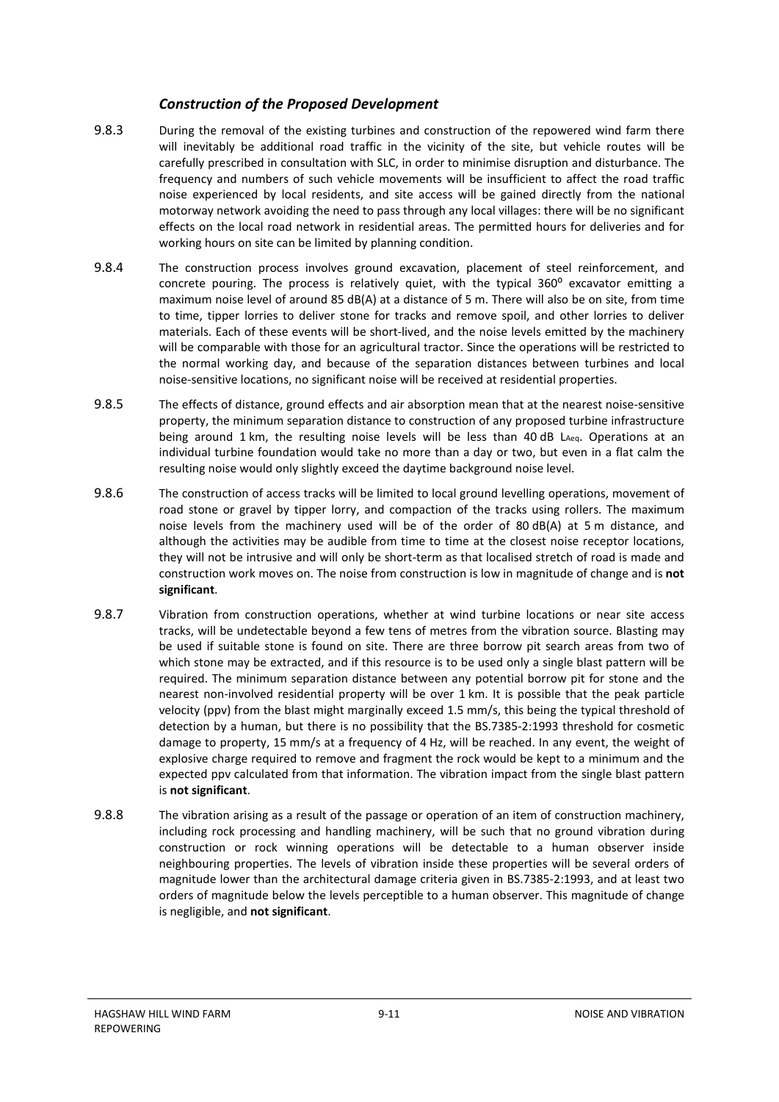### *Construction of the Proposed Development*

- 9.8.3 During the removal of the existing turbines and construction of the repowered wind farm there will inevitably be additional road traffic in the vicinity of the site, but vehicle routes will be carefully prescribed in consultation with SLC, in order to minimise disruption and disturbance. The frequency and numbers of such vehicle movements will be insufficient to affect the road traffic noise experienced by local residents, and site access will be gained directly from the national motorway network avoiding the need to pass through any local villages: there will be no significant effects on the local road network in residential areas. The permitted hours for deliveries and for working hours on site can be limited by planning condition.
- 9.8.4 The construction process involves ground excavation, placement of steel reinforcement, and concrete pouring. The process is relatively quiet, with the typical  $360^{\circ}$  excavator emitting a maximum noise level of around 85 dB(A) at a distance of 5 m. There will also be on site, from time to time, tipper lorries to deliver stone for tracks and remove spoil, and other lorries to deliver materials. Each of these events will be short-lived, and the noise levels emitted by the machinery will be comparable with those for an agricultural tractor. Since the operations will be restricted to the normal working day, and because of the separation distances between turbines and local noise-sensitive locations, no significant noise will be received at residential properties.
- 9.8.5 The effects of distance, ground effects and air absorption mean that at the nearest noise-sensitive property, the minimum separation distance to construction of any proposed turbine infrastructure being around 1 km, the resulting noise levels will be less than 40 dB LAeq. Operations at an individual turbine foundation would take no more than a day or two, but even in a flat calm the resulting noise would only slightly exceed the daytime background noise level.
- 9.8.6 The construction of access tracks will be limited to local ground levelling operations, movement of road stone or gravel by tipper lorry, and compaction of the tracks using rollers. The maximum noise levels from the machinery used will be of the order of 80 dB(A) at 5 m distance, and although the activities may be audible from time to time at the closest noise receptor locations, they will not be intrusive and will only be short-term as that localised stretch of road is made and construction work moves on. The noise from construction is low in magnitude of change and is **not significant**.
- 9.8.7 Vibration from construction operations, whether at wind turbine locations or near site access tracks, will be undetectable beyond a few tens of metres from the vibration source. Blasting may be used if suitable stone is found on site. There are three borrow pit search areas from two of which stone may be extracted, and if this resource is to be used only a single blast pattern will be required. The minimum separation distance between any potential borrow pit for stone and the nearest non-involved residential property will be over 1 km. It is possible that the peak particle velocity (ppv) from the blast might marginally exceed 1.5 mm/s, this being the typical threshold of detection by a human, but there is no possibility that the BS.7385-2:1993 threshold for cosmetic damage to property, 15 mm/s at a frequency of 4 Hz, will be reached. In any event, the weight of explosive charge required to remove and fragment the rock would be kept to a minimum and the expected ppv calculated from that information. The vibration impact from the single blast pattern is **not significant**.
- 9.8.8 The vibration arising as a result of the passage or operation of an item of construction machinery, including rock processing and handling machinery, will be such that no ground vibration during construction or rock winning operations will be detectable to a human observer inside neighbouring properties. The levels of vibration inside these properties will be several orders of magnitude lower than the architectural damage criteria given in BS.7385-2:1993, and at least two orders of magnitude below the levels perceptible to a human observer. This magnitude of change is negligible, and **not significant**.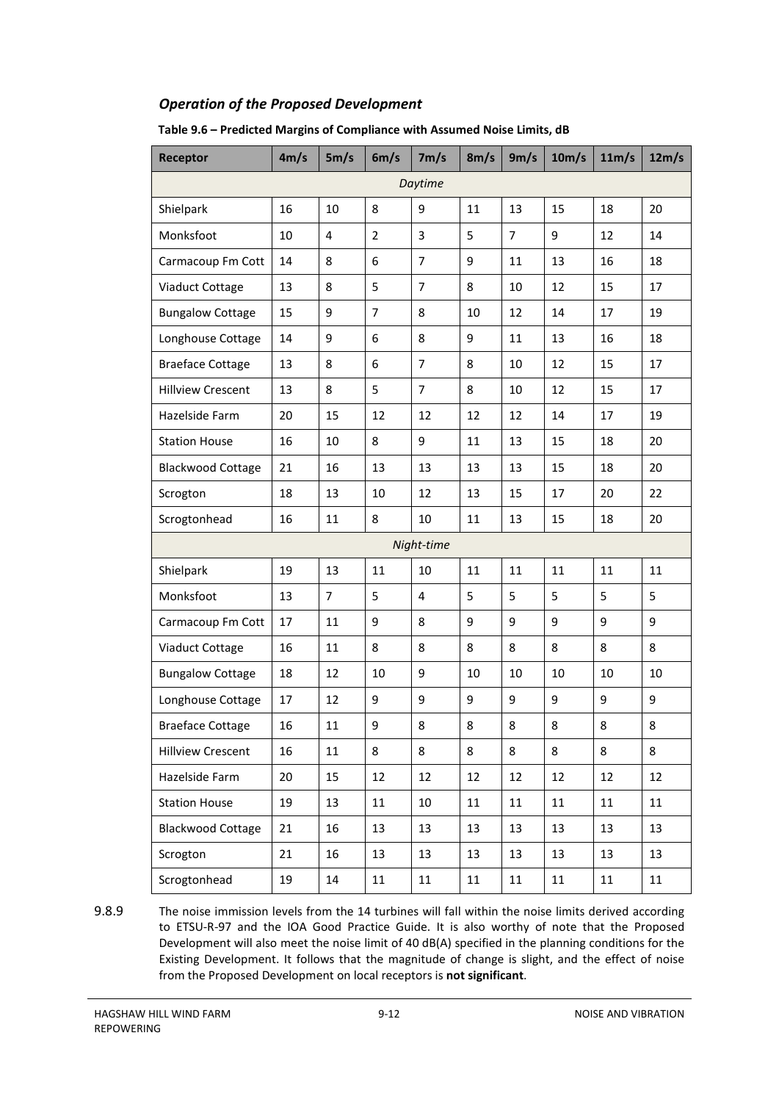# *Operation of the Proposed Development*

| Table 9.6 - Predicted Margins of Compliance with Assumed Noise Limits, dB |  |  |  |
|---------------------------------------------------------------------------|--|--|--|
|                                                                           |  |  |  |

| Receptor                 | 4m/s | 5m/s   | 6m/s           | 7m/s           | 8m/s | 9m/s           | 10 <sub>m</sub> /s | 11m/s | 12m/s |
|--------------------------|------|--------|----------------|----------------|------|----------------|--------------------|-------|-------|
|                          |      |        |                | <b>Daytime</b> |      |                |                    |       |       |
| Shielpark                | 16   | 10     | 8              | 9              | 11   | 13             | 15                 | 18    | 20    |
| Monksfoot                | 10   | 4      | $\overline{2}$ | 3              | 5    | $\overline{7}$ | 9                  | 12    | 14    |
| Carmacoup Fm Cott        | 14   | 8      | 6              | 7              | 9    | 11             | 13                 | 16    | 18    |
| Viaduct Cottage          | 13   | 8      | 5              | 7              | 8    | 10             | 12                 | 15    | 17    |
| <b>Bungalow Cottage</b>  | 15   | 9      | $\overline{7}$ | 8              | 10   | 12             | 14                 | 17    | 19    |
| Longhouse Cottage        | 14   | 9      | 6              | 8              | 9    | 11             | 13                 | 16    | 18    |
| <b>Braeface Cottage</b>  | 13   | 8      | 6              | 7              | 8    | 10             | 12                 | 15    | 17    |
| <b>Hillview Crescent</b> | 13   | 8      | 5              | $\overline{7}$ | 8    | 10             | 12                 | 15    | 17    |
| Hazelside Farm           | 20   | 15     | 12             | 12             | 12   | 12             | 14                 | 17    | 19    |
| <b>Station House</b>     | 16   | 10     | 8              | 9              | 11   | 13             | 15                 | 18    | 20    |
| <b>Blackwood Cottage</b> | 21   | 16     | 13             | 13             | 13   | 13             | 15                 | 18    | 20    |
| Scrogton                 | 18   | 13     | 10             | 12             | 13   | 15             | 17                 | 20    | 22    |
| Scrogtonhead             | 16   | 11     | 8              | 10             | 11   | 13             | 15                 | 18    | 20    |
|                          |      |        |                | Night-time     |      |                |                    |       |       |
| Shielpark                | 19   | 13     | 11             | 10             | 11   | 11             | 11                 | 11    | 11    |
| Monksfoot                | 13   | 7      | 5              | 4              | 5    | 5              | 5                  | 5     | 5     |
| Carmacoup Fm Cott        | 17   | 11     | 9              | 8              | 9    | 9              | 9                  | 9     | 9     |
| Viaduct Cottage          | 16   | 11     | 8              | 8              | 8    | 8              | 8                  | 8     | 8     |
| <b>Bungalow Cottage</b>  | 18   | 12     | 10             | 9              | 10   | 10             | 10                 | 10    | 10    |
| Longhouse Cottage        | 17   | 12     | 9              | 9              | 9    | 9              | 9                  | 9     | 9     |
| <b>Braeface Cottage</b>  | 16   | $11\,$ | 9              | 8              | 8    | 8              | 8                  | 8     | 8     |
| <b>Hillview Crescent</b> | 16   | 11     | 8              | 8              | 8    | 8              | 8                  | 8     | 8     |
| Hazelside Farm           | 20   | 15     | 12             | 12             | 12   | 12             | 12                 | 12    | 12    |
| <b>Station House</b>     | 19   | 13     | 11             | $10\,$         | 11   | 11             | 11                 | 11    | 11    |
| <b>Blackwood Cottage</b> | 21   | 16     | 13             | 13             | 13   | 13             | 13                 | 13    | 13    |
| Scrogton                 | 21   | 16     | 13             | 13             | 13   | 13             | 13                 | 13    | 13    |
| Scrogtonhead             | 19   | 14     | 11             | 11             | 11   | 11             | 11                 | 11    | 11    |

9.8.9 The noise immission levels from the 14 turbines will fall within the noise limits derived according to ETSU-R-97 and the IOA Good Practice Guide. It is also worthy of note that the Proposed Development will also meet the noise limit of 40 dB(A) specified in the planning conditions for the Existing Development. It follows that the magnitude of change is slight, and the effect of noise from the Proposed Development on local receptors is **not significant**.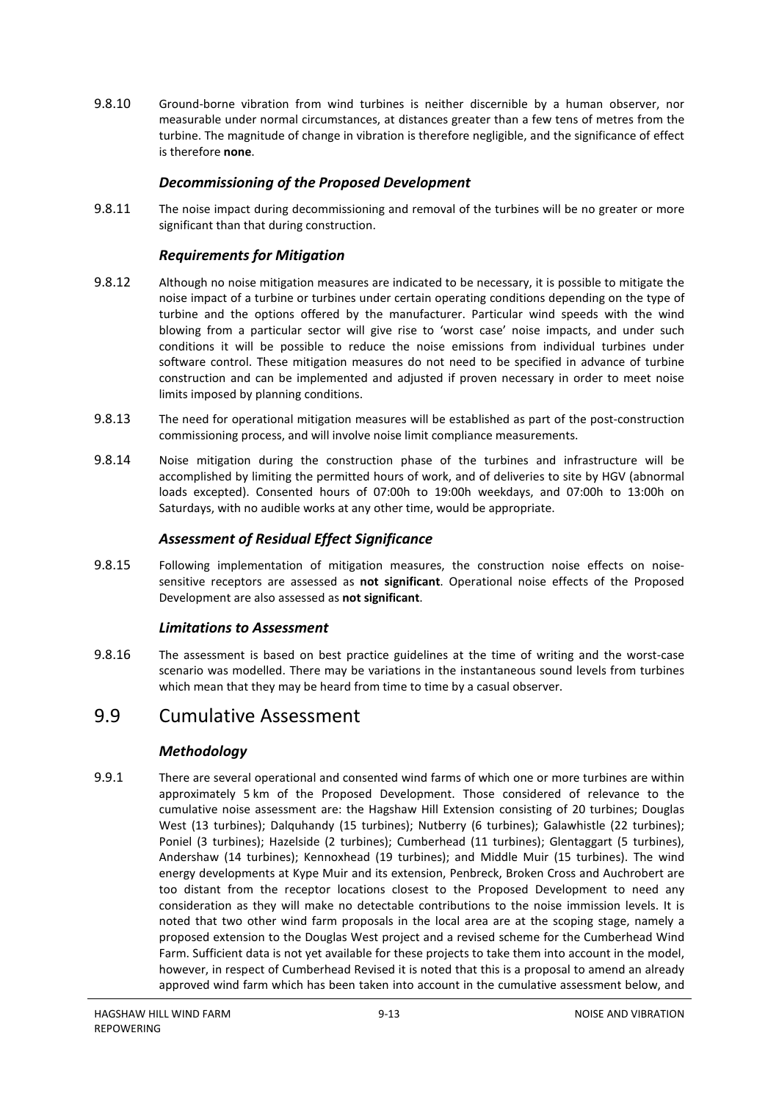9.8.10 Ground-borne vibration from wind turbines is neither discernible by a human observer, nor measurable under normal circumstances, at distances greater than a few tens of metres from the turbine. The magnitude of change in vibration is therefore negligible, and the significance of effect is therefore **none**.

# *Decommissioning of the Proposed Development*

9.8.11 The noise impact during decommissioning and removal of the turbines will be no greater or more significant than that during construction.

### *Requirements for Mitigation*

- 9.8.12 Although no noise mitigation measures are indicated to be necessary, it is possible to mitigate the noise impact of a turbine or turbines under certain operating conditions depending on the type of turbine and the options offered by the manufacturer. Particular wind speeds with the wind blowing from a particular sector will give rise to 'worst case' noise impacts, and under such conditions it will be possible to reduce the noise emissions from individual turbines under software control. These mitigation measures do not need to be specified in advance of turbine construction and can be implemented and adjusted if proven necessary in order to meet noise limits imposed by planning conditions.
- 9.8.13 The need for operational mitigation measures will be established as part of the post-construction commissioning process, and will involve noise limit compliance measurements.
- 9.8.14 Noise mitigation during the construction phase of the turbines and infrastructure will be accomplished by limiting the permitted hours of work, and of deliveries to site by HGV (abnormal loads excepted). Consented hours of 07:00h to 19:00h weekdays, and 07:00h to 13:00h on Saturdays, with no audible works at any other time, would be appropriate.

# *Assessment of Residual Effect Significance*

9.8.15 Following implementation of mitigation measures, the construction noise effects on noisesensitive receptors are assessed as **not significant**. Operational noise effects of the Proposed Development are also assessed as **not significant**.

### *Limitations to Assessment*

9.8.16 The assessment is based on best practice guidelines at the time of writing and the worst-case scenario was modelled. There may be variations in the instantaneous sound levels from turbines which mean that they may be heard from time to time by a casual observer.

# <span id="page-14-0"></span>9.9 Cumulative Assessment

### *Methodology*

9.9.1 There are several operational and consented wind farms of which one or more turbines are within approximately 5 km of the Proposed Development. Those considered of relevance to the cumulative noise assessment are: the Hagshaw Hill Extension consisting of 20 turbines; Douglas West (13 turbines); Dalquhandy (15 turbines); Nutberry (6 turbines); Galawhistle (22 turbines); Poniel (3 turbines); Hazelside (2 turbines); Cumberhead (11 turbines); Glentaggart (5 turbines), Andershaw (14 turbines); Kennoxhead (19 turbines); and Middle Muir (15 turbines). The wind energy developments at Kype Muir and its extension, Penbreck, Broken Cross and Auchrobert are too distant from the receptor locations closest to the Proposed Development to need any consideration as they will make no detectable contributions to the noise immission levels. It is noted that two other wind farm proposals in the local area are at the scoping stage, namely a proposed extension to the Douglas West project and a revised scheme for the Cumberhead Wind Farm. Sufficient data is not yet available for these projects to take them into account in the model, however, in respect of Cumberhead Revised it is noted that this is a proposal to amend an already approved wind farm which has been taken into account in the cumulative assessment below, and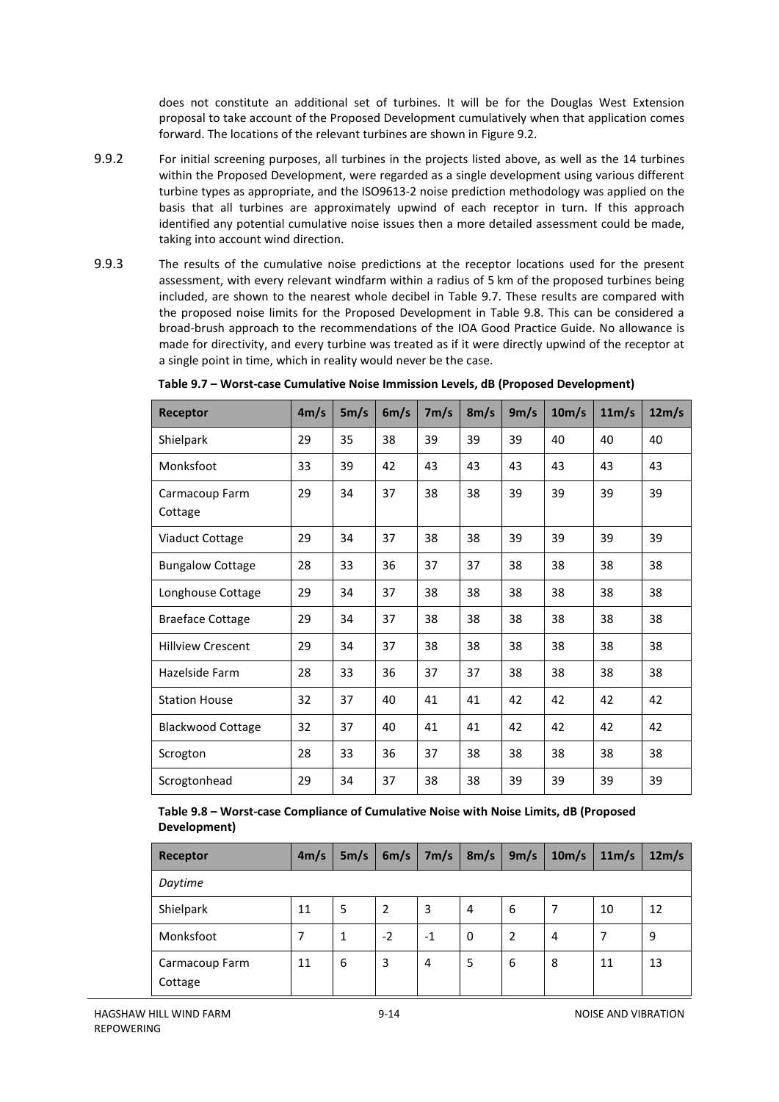does not constitute an additional set of turbines. It will be for the Douglas West Extension proposal to take account of the Proposed Development cumulatively when that application comes forward. The locations of the relevant turbines are shown in Figure 9.2.

- 9.9.2 For initial screening purposes, all turbines in the projects listed above, as well as the 14 turbines within the Proposed Development, were regarded as a single development using various different turbine types as appropriate, and the ISO9613-2 noise prediction methodology was applied on the basis that all turbines are approximately upwind of each receptor in turn. If this approach identified any potential cumulative noise issues then a more detailed assessment could be made, taking into account wind direction.
- 9.9.3 The results of the cumulative noise predictions at the receptor locations used for the present assessment, with every relevant windfarm within a radius of 5 km of the proposed turbines being included, are shown to the nearest whole decibel in Table 9.7. These results are compared with the proposed noise limits for the Proposed Development in Table 9.8. This can be considered a broad-brush approach to the recommendations of the IOA Good Practice Guide. No allowance is made for directivity, and every turbine was treated as if it were directly upwind of the receptor at a single point in time, which in reality would never be the case.

| Receptor                  | 4m/s | 5m/s | 6m/s | 7m/s | 8m/s | 9m/s | 10 <sub>m</sub> /s | 11m/s | 12m/s |
|---------------------------|------|------|------|------|------|------|--------------------|-------|-------|
| Shielpark                 | 29   | 35   | 38   | 39   | 39   | 39   | 40                 | 40    | 40    |
| Monksfoot                 | 33   | 39   | 42   | 43   | 43   | 43   | 43                 | 43    | 43    |
| Carmacoup Farm<br>Cottage | 29   | 34   | 37   | 38   | 38   | 39   | 39                 | 39    | 39    |
| Viaduct Cottage           | 29   | 34   | 37   | 38   | 38   | 39   | 39                 | 39    | 39    |
| <b>Bungalow Cottage</b>   | 28   | 33   | 36   | 37   | 37   | 38   | 38                 | 38    | 38    |
| Longhouse Cottage         | 29   | 34   | 37   | 38   | 38   | 38   | 38                 | 38    | 38    |
| <b>Braeface Cottage</b>   | 29   | 34   | 37   | 38   | 38   | 38   | 38                 | 38    | 38    |
| <b>Hillview Crescent</b>  | 29   | 34   | 37   | 38   | 38   | 38   | 38                 | 38    | 38    |
| Hazelside Farm            | 28   | 33   | 36   | 37   | 37   | 38   | 38                 | 38    | 38    |
| <b>Station House</b>      | 32   | 37   | 40   | 41   | 41   | 42   | 42                 | 42    | 42    |
| <b>Blackwood Cottage</b>  | 32   | 37   | 40   | 41   | 41   | 42   | 42                 | 42    | 42    |
| Scrogton                  | 28   | 33   | 36   | 37   | 38   | 38   | 38                 | 38    | 38    |
| Scrogtonhead              | 29   | 34   | 37   | 38   | 38   | 39   | 39                 | 39    | 39    |

**Table 9.7 – Worst-case Cumulative Noise Immission Levels, dB (Proposed Development)**

**Table 9.8 – Worst-case Compliance of Cumulative Noise with Noise Limits, dB (Proposed Development)**

| Receptor                  | 4m/s | 5m/s | 6m/s           | 7m/s | 8m/s | 9m/s | 10 <sub>m</sub> /s | 11m/s | 12m/s |
|---------------------------|------|------|----------------|------|------|------|--------------------|-------|-------|
| Daytime                   |      |      |                |      |      |      |                    |       |       |
| Shielpark                 | 11   | 5    | $\overline{2}$ | 3    | 4    | 6    | 7                  | 10    | 12    |
| Monksfoot                 |      | 1    | $-2$           | $-1$ | 0    | 2    | $\overline{4}$     |       | 9     |
| Carmacoup Farm<br>Cottage | 11   | 6    | 3              | 4    | 5    | 6    | 8                  | 11    | 13    |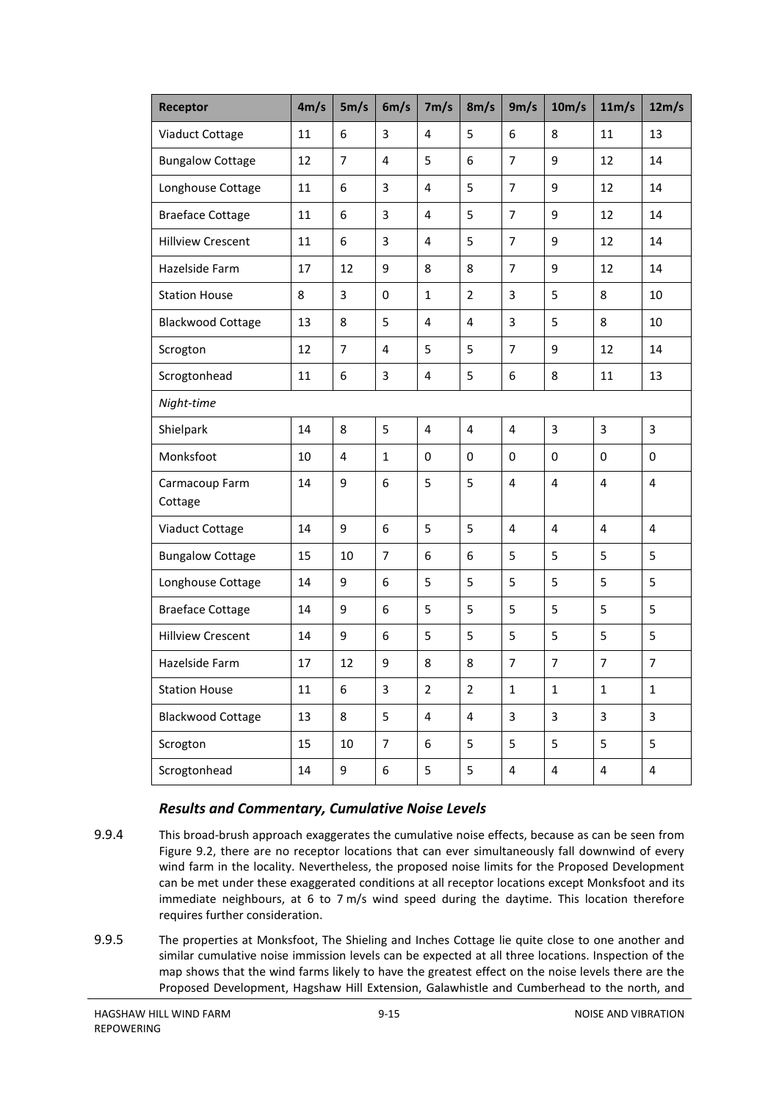| Receptor                  | 4m/s | 5m/s           | 6m/s           | 7m/s           | 8m/s                    | 9m/s         | 10 <sub>m</sub> /s      | 11m/s          | 12m/s          |
|---------------------------|------|----------------|----------------|----------------|-------------------------|--------------|-------------------------|----------------|----------------|
| Viaduct Cottage           | 11   | 6              | 3              | 4              | 5                       | 6            | 8                       | 11             | 13             |
| <b>Bungalow Cottage</b>   | 12   | $\overline{7}$ | 4              | 5              | 6                       | 7            | 9                       | 12             | 14             |
| Longhouse Cottage         | 11   | 6              | 3              | 4              | 5                       | 7            | 9                       | 12             | 14             |
| <b>Braeface Cottage</b>   | 11   | 6              | 3              | 4              | 5                       | 7            | 9                       | 12             | 14             |
| <b>Hillview Crescent</b>  | 11   | 6              | 3              | 4              | 5                       | 7            | 9                       | 12             | 14             |
| Hazelside Farm            | 17   | 12             | 9              | 8              | 8                       | 7            | 9                       | 12             | 14             |
| <b>Station House</b>      | 8    | 3              | $\pmb{0}$      | $\mathbf{1}$   | $\overline{2}$          | 3            | 5                       | 8              | 10             |
| <b>Blackwood Cottage</b>  | 13   | 8              | 5              | 4              | 4                       | 3            | 5                       | 8              | 10             |
| Scrogton                  | 12   | $\overline{7}$ | 4              | 5              | 5                       | 7            | 9                       | 12             | 14             |
| Scrogtonhead              | 11   | 6              | 3              | 4              | 5                       | 6            | 8                       | 11             | 13             |
| Night-time                |      |                |                |                |                         |              |                         |                |                |
| Shielpark                 | 14   | 8              | 5              | 4              | 4                       | 4            | 3                       | $\overline{3}$ | 3              |
| Monksfoot                 | 10   | 4              | $\mathbf{1}$   | 0              | 0                       | 0            | $\mathbf 0$             | $\mathbf 0$    | $\mathbf 0$    |
| Carmacoup Farm<br>Cottage | 14   | 9              | 6              | 5              | 5                       | 4            | 4                       | 4              | 4              |
| Viaduct Cottage           | 14   | 9              | 6              | 5              | 5                       | 4            | $\overline{4}$          | $\overline{4}$ | 4              |
| <b>Bungalow Cottage</b>   | 15   | 10             | 7              | 6              | 6                       | 5            | 5                       | 5              | 5              |
| Longhouse Cottage         | 14   | 9              | 6              | 5              | 5                       | 5            | 5                       | 5              | 5              |
| <b>Braeface Cottage</b>   | 14   | 9              | 6              | 5              | 5                       | 5            | 5                       | 5              | 5              |
| <b>Hillview Crescent</b>  | 14   | 9              | 6              | 5              | 5                       | 5            | 5                       | 5              | 5              |
| Hazelside Farm            | 17   | 12             | 9              | 8              | 8                       | 7            | 7                       | $\overline{7}$ | $\overline{7}$ |
| <b>Station House</b>      | 11   | 6              | 3              | $\overline{2}$ | $\overline{2}$          | $\mathbf{1}$ | $\mathbf{1}$            | $\mathbf 1$    | $\mathbf 1$    |
| <b>Blackwood Cottage</b>  | 13   | 8              | 5              | 4              | $\overline{\mathbf{4}}$ | 3            | 3                       | 3              | 3              |
| Scrogton                  | 15   | 10             | $\overline{7}$ | 6              | 5                       | 5            | 5                       | 5              | 5              |
| Scrogtonhead              | 14   | 9              | 6              | 5              | 5                       | 4            | $\overline{\mathbf{4}}$ | $\overline{4}$ | 4              |

### *Results and Commentary, Cumulative Noise Levels*

- 9.9.4 This broad-brush approach exaggerates the cumulative noise effects, because as can be seen from Figure 9.2, there are no receptor locations that can ever simultaneously fall downwind of every wind farm in the locality. Nevertheless, the proposed noise limits for the Proposed Development can be met under these exaggerated conditions at all receptor locations except Monksfoot and its immediate neighbours, at 6 to 7 m/s wind speed during the daytime. This location therefore requires further consideration.
- 9.9.5 The properties at Monksfoot, The Shieling and Inches Cottage lie quite close to one another and similar cumulative noise immission levels can be expected at all three locations. Inspection of the map shows that the wind farms likely to have the greatest effect on the noise levels there are the Proposed Development, Hagshaw Hill Extension, Galawhistle and Cumberhead to the north, and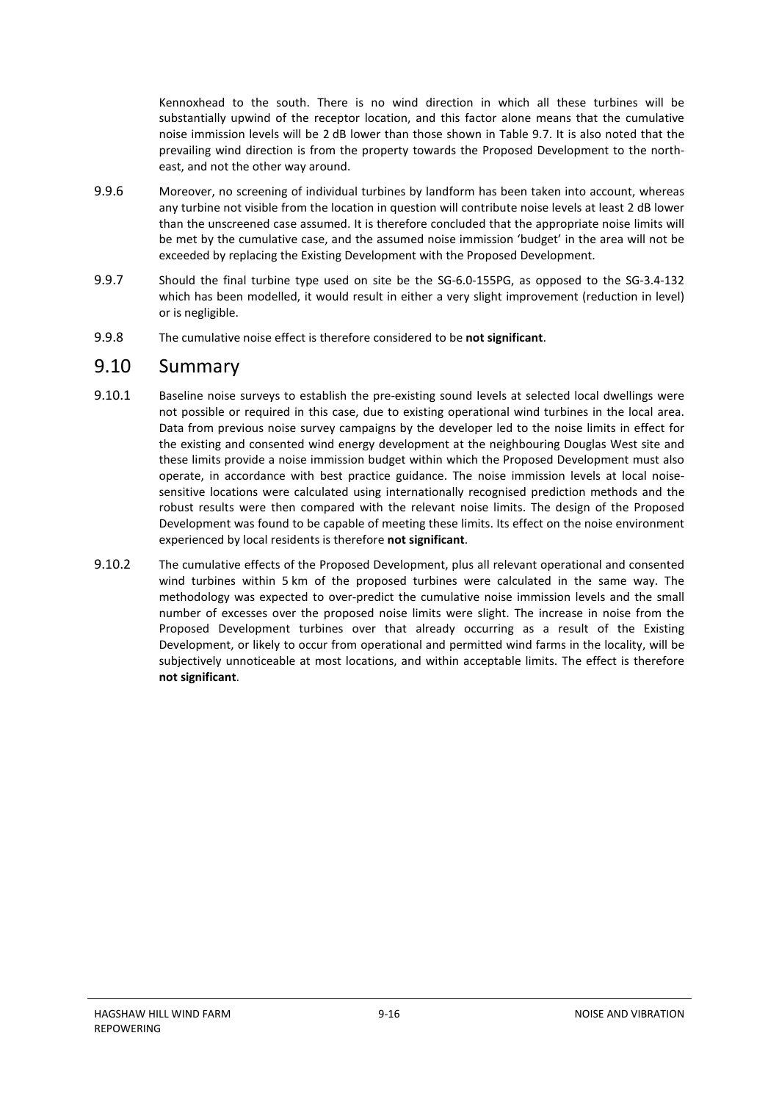Kennoxhead to the south. There is no wind direction in which all these turbines will be substantially upwind of the receptor location, and this factor alone means that the cumulative noise immission levels will be 2 dB lower than those shown in Table 9.7. It is also noted that the prevailing wind direction is from the property towards the Proposed Development to the northeast, and not the other way around.

- 9.9.6 Moreover, no screening of individual turbines by landform has been taken into account, whereas any turbine not visible from the location in question will contribute noise levels at least 2 dB lower than the unscreened case assumed. It is therefore concluded that the appropriate noise limits will be met by the cumulative case, and the assumed noise immission 'budget' in the area will not be exceeded by replacing the Existing Development with the Proposed Development.
- 9.9.7 Should the final turbine type used on site be the SG-6.0-155PG, as opposed to the SG-3.4-132 which has been modelled, it would result in either a very slight improvement (reduction in level) or is negligible.
- 9.9.8 The cumulative noise effect is therefore considered to be **not significant**.

# <span id="page-17-0"></span>9.10 Summary

- 9.10.1 Baseline noise surveys to establish the pre-existing sound levels at selected local dwellings were not possible or required in this case, due to existing operational wind turbines in the local area. Data from previous noise survey campaigns by the developer led to the noise limits in effect for the existing and consented wind energy development at the neighbouring Douglas West site and these limits provide a noise immission budget within which the Proposed Development must also operate, in accordance with best practice guidance. The noise immission levels at local noisesensitive locations were calculated using internationally recognised prediction methods and the robust results were then compared with the relevant noise limits. The design of the Proposed Development was found to be capable of meeting these limits. Its effect on the noise environment experienced by local residents is therefore **not significant**.
- 9.10.2 The cumulative effects of the Proposed Development, plus all relevant operational and consented wind turbines within 5 km of the proposed turbines were calculated in the same way. The methodology was expected to over-predict the cumulative noise immission levels and the small number of excesses over the proposed noise limits were slight. The increase in noise from the Proposed Development turbines over that already occurring as a result of the Existing Development, or likely to occur from operational and permitted wind farms in the locality, will be subjectively unnoticeable at most locations, and within acceptable limits. The effect is therefore **not significant**.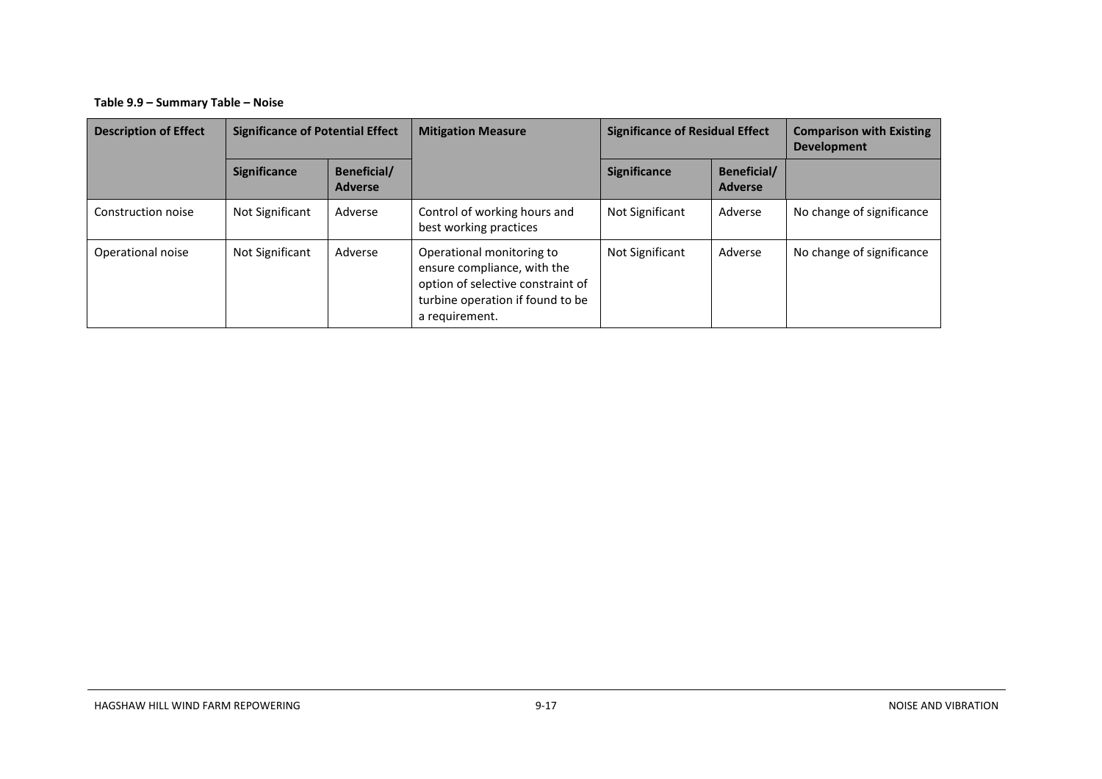#### **Table 9.9 – Summary Table – Noise**

| <b>Description of Effect</b> | <b>Significance of Potential Effect</b> |                               | <b>Mitigation Measure</b>                                                                                                                           | <b>Significance of Residual Effect</b> |                                      | <b>Comparison with Existing</b><br><b>Development</b> |
|------------------------------|-----------------------------------------|-------------------------------|-----------------------------------------------------------------------------------------------------------------------------------------------------|----------------------------------------|--------------------------------------|-------------------------------------------------------|
|                              | <b>Significance</b>                     | Beneficial/<br><b>Adverse</b> |                                                                                                                                                     | <b>Significance</b>                    | <b>Beneficial/</b><br><b>Adverse</b> |                                                       |
| Construction noise           | Not Significant                         | Adverse                       | Control of working hours and<br>best working practices                                                                                              | Not Significant                        | Adverse                              | No change of significance                             |
| Operational noise            | Not Significant                         | Adverse                       | Operational monitoring to<br>ensure compliance, with the<br>option of selective constraint of<br>turbine operation if found to be<br>a requirement. | Not Significant                        | Adverse                              | No change of significance                             |